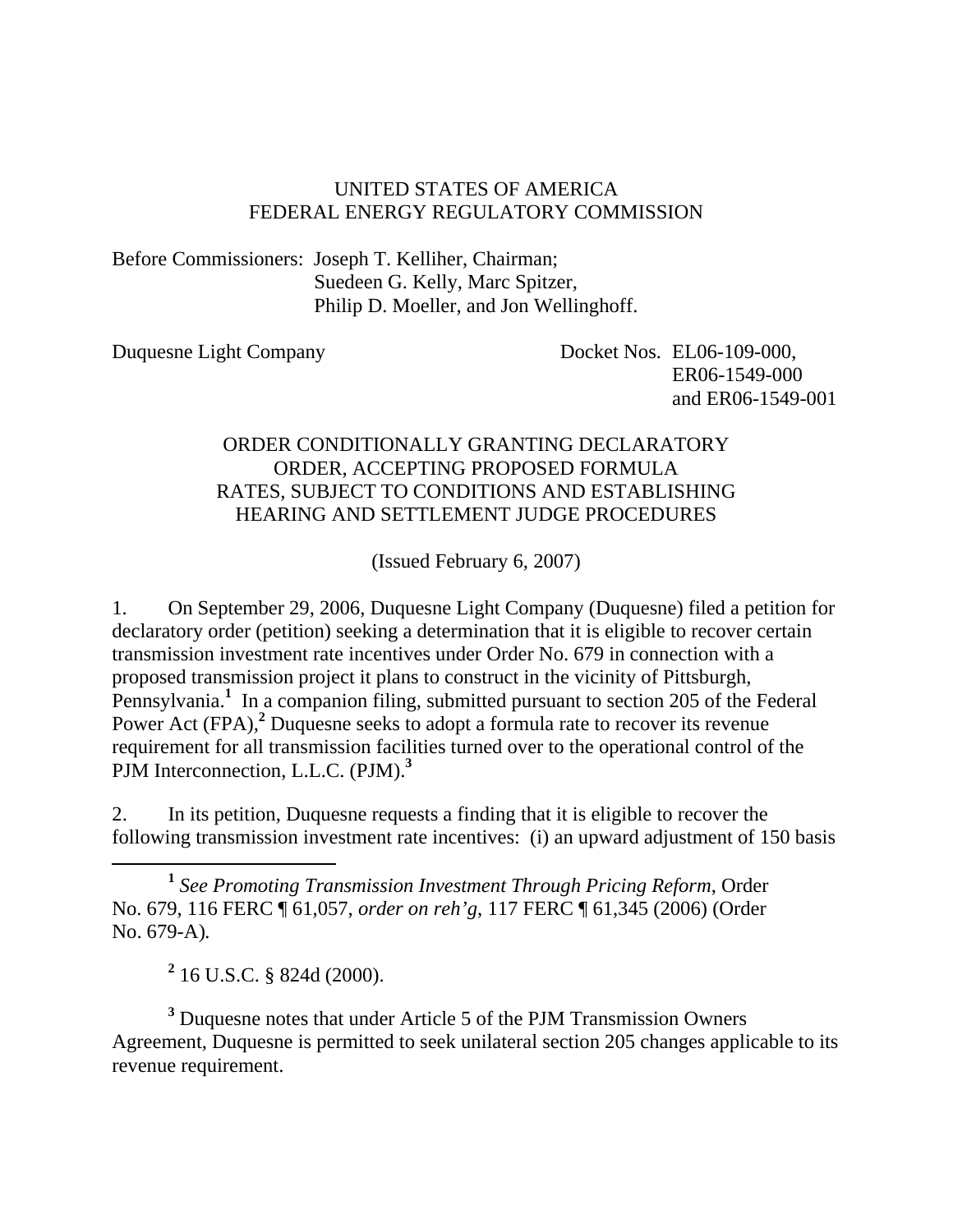### UNITED STATES OF AMERICA FEDERAL ENERGY REGULATORY COMMISSION

Before Commissioners: Joseph T. Kelliher, Chairman; Suedeen G. Kelly, Marc Spitzer, Philip D. Moeller, and Jon Wellinghoff.

Duquesne Light Company Docket Nos. EL06-109-000, ER06-1549-000 and ER06-1549-001

### ORDER CONDITIONALLY GRANTING DECLARATORY ORDER, ACCEPTING PROPOSED FORMULA RATES, SUBJECT TO CONDITIONS AND ESTABLISHING HEARING AND SETTLEMENT JUDGE PROCEDURES

(Issued February 6, 2007)

1. On September 29, 2006, Duquesne Light Company (Duquesne) filed a petition for declaratory order (petition) seeking a determination that it is eligible to recover certain transmission investment rate incentives under Order No. 679 in connection with a proposed transmission project it plans to construct in the vicinity of Pittsburgh, Pennsylvania.<sup>1</sup> In a companion filing, submitted pursuant to section 205 of the Federal Power Act (FPA),<sup>2</sup> Duquesne seeks to adopt a formula rate to recover its revenue requirement for all transmission facilities turned over to the operational control of the PJM Interconnection, L.L.C. (PJM).**<sup>3</sup>**

2. In its petition, Duquesne requests a finding that it is eligible to recover the following transmission investment rate incentives: (i) an upward adjustment of 150 basis

 **<sup>1</sup>** *See Promoting Transmission Investment Through Pricing Reform*, Order No. 679, 116 FERC ¶ 61,057, *order on reh'g*, 117 FERC ¶ 61,345 (2006) (Order No. 679-A)*.* 

**2** 16 U.S.C. § 824d (2000).

<sup>3</sup> Duquesne notes that under Article 5 of the PJM Transmission Owners Agreement, Duquesne is permitted to seek unilateral section 205 changes applicable to its revenue requirement.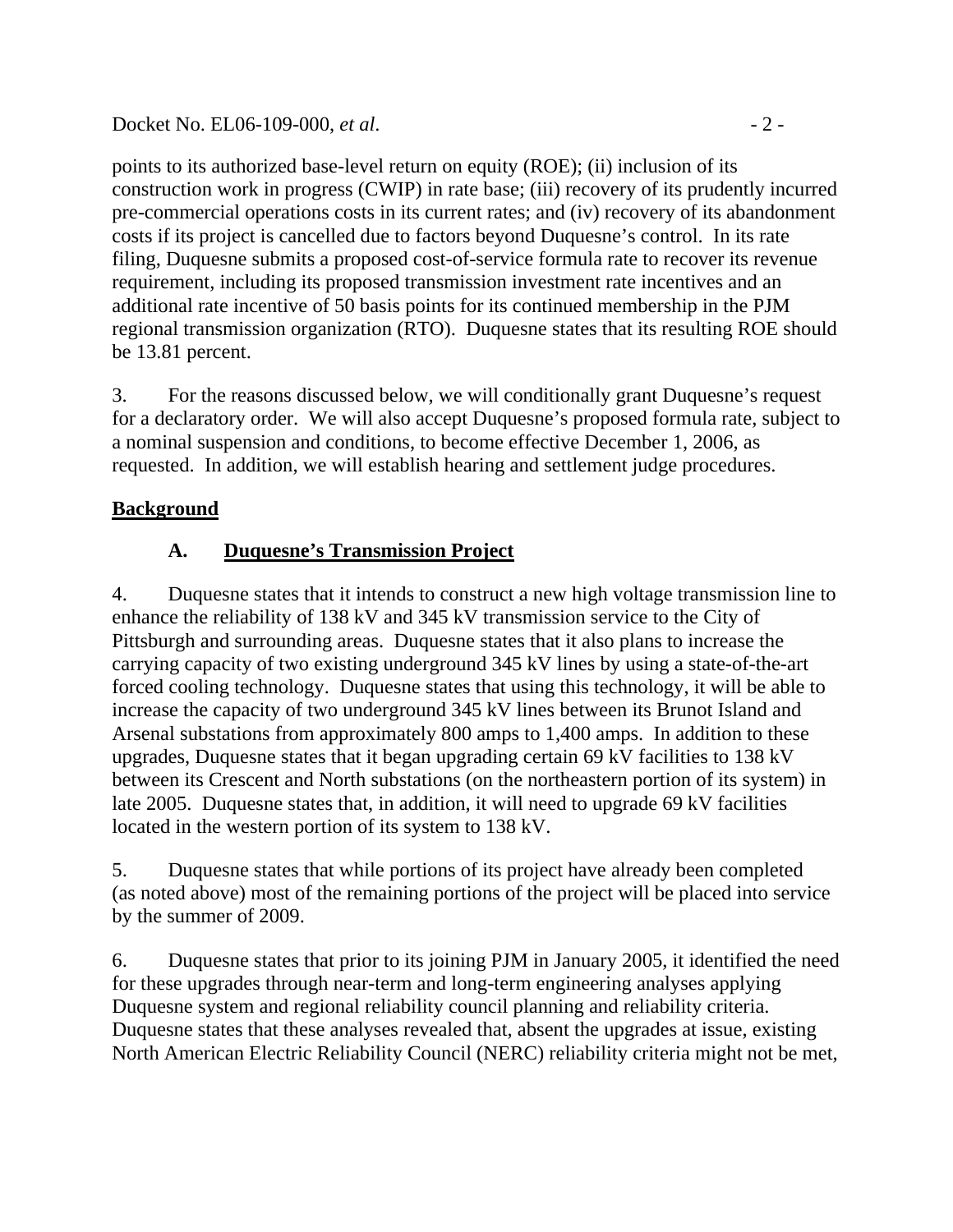Docket No. EL06-109-000, *et al.* - 2 -

points to its authorized base-level return on equity (ROE); (ii) inclusion of its construction work in progress (CWIP) in rate base; (iii) recovery of its prudently incurred pre-commercial operations costs in its current rates; and (iv) recovery of its abandonment costs if its project is cancelled due to factors beyond Duquesne's control.In its rate filing, Duquesne submits a proposed cost-of-service formula rate to recover its revenue requirement, including its proposed transmission investment rate incentives and an additional rate incentive of 50 basis points for its continued membership in the PJM regional transmission organization (RTO). Duquesne states that its resulting ROE should be 13.81 percent.

3. For the reasons discussed below, we will conditionally grant Duquesne's request for a declaratory order. We will also accept Duquesne's proposed formula rate, subject to a nominal suspension and conditions, to become effective December 1, 2006, as requested. In addition, we will establish hearing and settlement judge procedures.

# **Background**

# **A. Duquesne's Transmission Project**

4. Duquesne states that it intends to construct a new high voltage transmission line to enhance the reliability of 138 kV and 345 kV transmission service to the City of Pittsburgh and surrounding areas. Duquesne states that it also plans to increase the carrying capacity of two existing underground 345 kV lines by using a state-of-the-art forced cooling technology. Duquesne states that using this technology, it will be able to increase the capacity of two underground 345 kV lines between its Brunot Island and Arsenal substations from approximately 800 amps to 1,400 amps. In addition to these upgrades, Duquesne states that it began upgrading certain 69 kV facilities to 138 kV between its Crescent and North substations (on the northeastern portion of its system) in late 2005. Duquesne states that, in addition, it will need to upgrade 69 kV facilities located in the western portion of its system to 138 kV.

5. Duquesne states that while portions of its project have already been completed (as noted above) most of the remaining portions of the project will be placed into service by the summer of 2009.

6. Duquesne states that prior to its joining PJM in January 2005, it identified the need for these upgrades through near-term and long-term engineering analyses applying Duquesne system and regional reliability council planning and reliability criteria. Duquesne states that these analyses revealed that, absent the upgrades at issue, existing North American Electric Reliability Council (NERC) reliability criteria might not be met,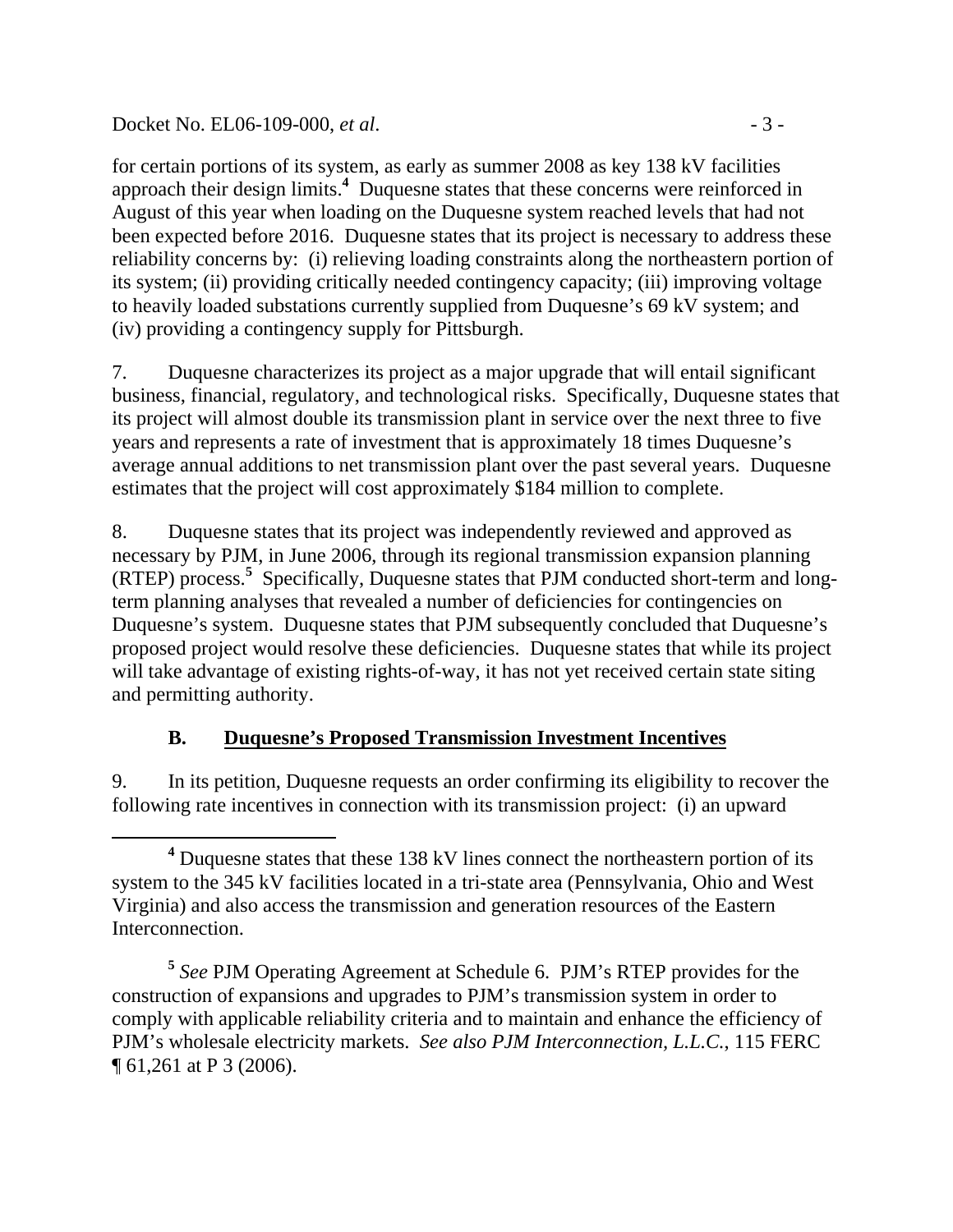Docket No. EL06-109-000, *et al.* - 3 -

for certain portions of its system, as early as summer 2008 as key 138 kV facilities approach their design limits.**<sup>4</sup>** Duquesne states that these concerns were reinforced in August of this year when loading on the Duquesne system reached levels that had not been expected before 2016. Duquesne states that its project is necessary to address these reliability concerns by: (i) relieving loading constraints along the northeastern portion of its system; (ii) providing critically needed contingency capacity; (iii) improving voltage to heavily loaded substations currently supplied from Duquesne's 69 kV system; and (iv) providing a contingency supply for Pittsburgh.

7. Duquesne characterizes its project as a major upgrade that will entail significant business, financial, regulatory, and technological risks. Specifically, Duquesne states that its project will almost double its transmission plant in service over the next three to five years and represents a rate of investment that is approximately 18 times Duquesne's average annual additions to net transmission plant over the past several years. Duquesne estimates that the project will cost approximately \$184 million to complete.

8. Duquesne states that its project was independently reviewed and approved as necessary by PJM, in June 2006, through its regional transmission expansion planning (RTEP) process.**<sup>5</sup>** Specifically, Duquesne states that PJM conducted short-term and longterm planning analyses that revealed a number of deficiencies for contingencies on Duquesne's system. Duquesne states that PJM subsequently concluded that Duquesne's proposed project would resolve these deficiencies. Duquesne states that while its project will take advantage of existing rights-of-way, it has not yet received certain state siting and permitting authority.

# **B. Duquesne's Proposed Transmission Investment Incentives**

9. In its petition, Duquesne requests an order confirming its eligibility to recover the following rate incentives in connection with its transmission project: (i) an upward

**<sup>4</sup>** <sup>4</sup> Duquesne states that these 138 kV lines connect the northeastern portion of its system to the 345 kV facilities located in a tri-state area (Pennsylvania, Ohio and West Virginia) and also access the transmission and generation resources of the Eastern Interconnection.

**<sup>5</sup>** *See* PJM Operating Agreement at Schedule 6. PJM's RTEP provides for the construction of expansions and upgrades to PJM's transmission system in order to comply with applicable reliability criteria and to maintain and enhance the efficiency of PJM's wholesale electricity markets. *See also PJM Interconnection, L.L.C.*, 115 FERC ¶ 61,261 at P 3 (2006).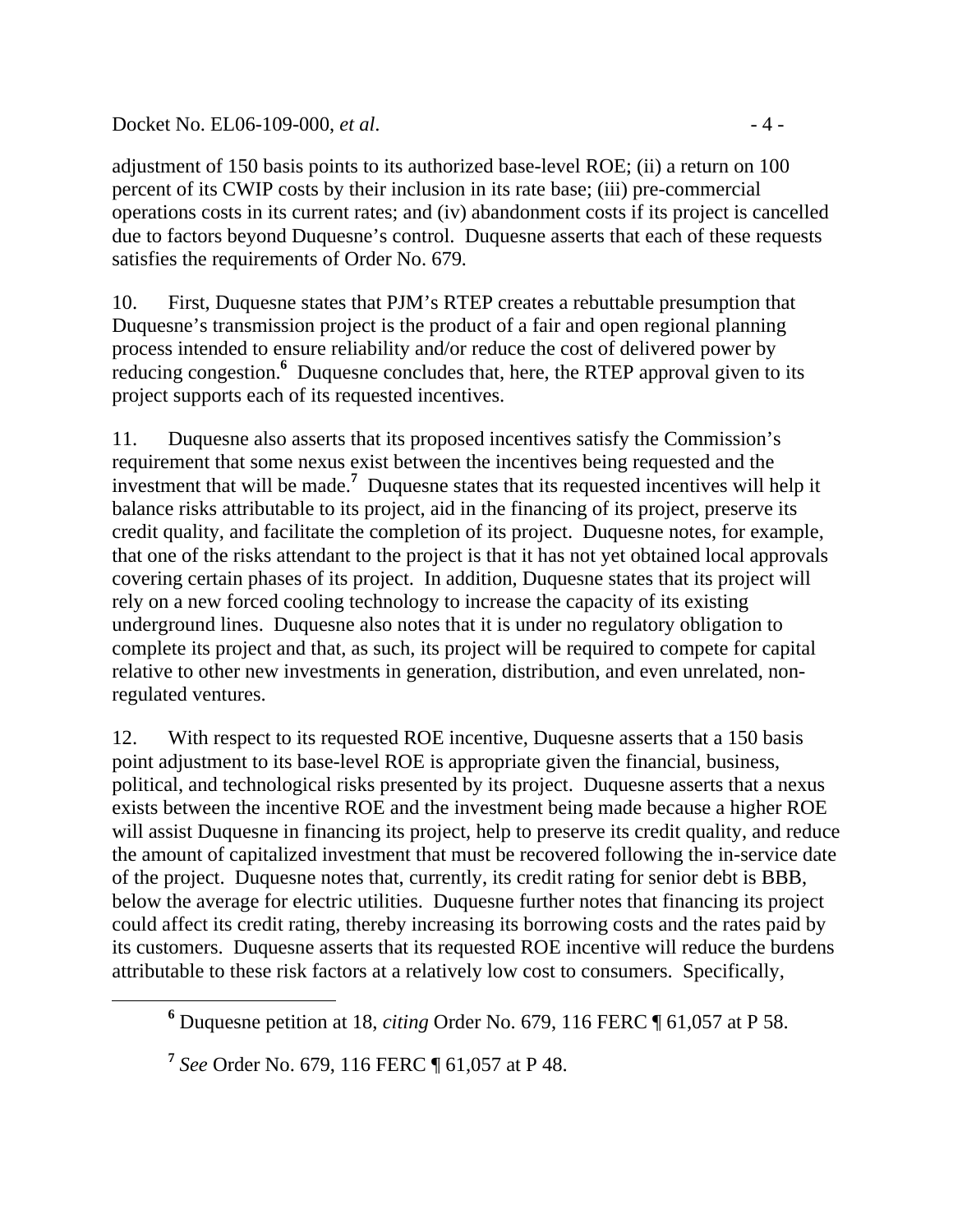Docket No. EL06-109-000, *et al.* - 4 -

adjustment of 150 basis points to its authorized base-level ROE; (ii) a return on 100 percent of its CWIP costs by their inclusion in its rate base; (iii) pre-commercial operations costs in its current rates; and (iv) abandonment costs if its project is cancelled due to factors beyond Duquesne's control.Duquesne asserts that each of these requests satisfies the requirements of Order No. 679*.*

10. First, Duquesne states that PJM's RTEP creates a rebuttable presumption that Duquesne's transmission project is the product of a fair and open regional planning process intended to ensure reliability and/or reduce the cost of delivered power by reducing congestion.**<sup>6</sup>** Duquesne concludes that, here, the RTEP approval given to its project supports each of its requested incentives.

11. Duquesne also asserts that its proposed incentives satisfy the Commission's requirement that some nexus exist between the incentives being requested and the investment that will be made.**<sup>7</sup>** Duquesne states that its requested incentives will help it balance risks attributable to its project, aid in the financing of its project, preserve its credit quality, and facilitate the completion of its project. Duquesne notes, for example, that one of the risks attendant to the project is that it has not yet obtained local approvals covering certain phases of its project. In addition, Duquesne states that its project will rely on a new forced cooling technology to increase the capacity of its existing underground lines. Duquesne also notes that it is under no regulatory obligation to complete its project and that, as such, its project will be required to compete for capital relative to other new investments in generation, distribution, and even unrelated, nonregulated ventures.

12. With respect to its requested ROE incentive, Duquesne asserts that a 150 basis point adjustment to its base-level ROE is appropriate given the financial, business, political, and technological risks presented by its project. Duquesne asserts that a nexus exists between the incentive ROE and the investment being made because a higher ROE will assist Duquesne in financing its project, help to preserve its credit quality, and reduce the amount of capitalized investment that must be recovered following the in-service date of the project. Duquesne notes that, currently, its credit rating for senior debt is BBB, below the average for electric utilities. Duquesne further notes that financing its project could affect its credit rating, thereby increasing its borrowing costs and the rates paid by its customers. Duquesne asserts that its requested ROE incentive will reduce the burdens attributable to these risk factors at a relatively low cost to consumers. Specifically,

**<sup>6</sup>** Duquesne petition at 18, *citing* Order No. 679, 116 FERC ¶ 61,057 at P 58.

**<sup>7</sup>** *See* Order No. 679, 116 FERC ¶ 61,057 at P 48.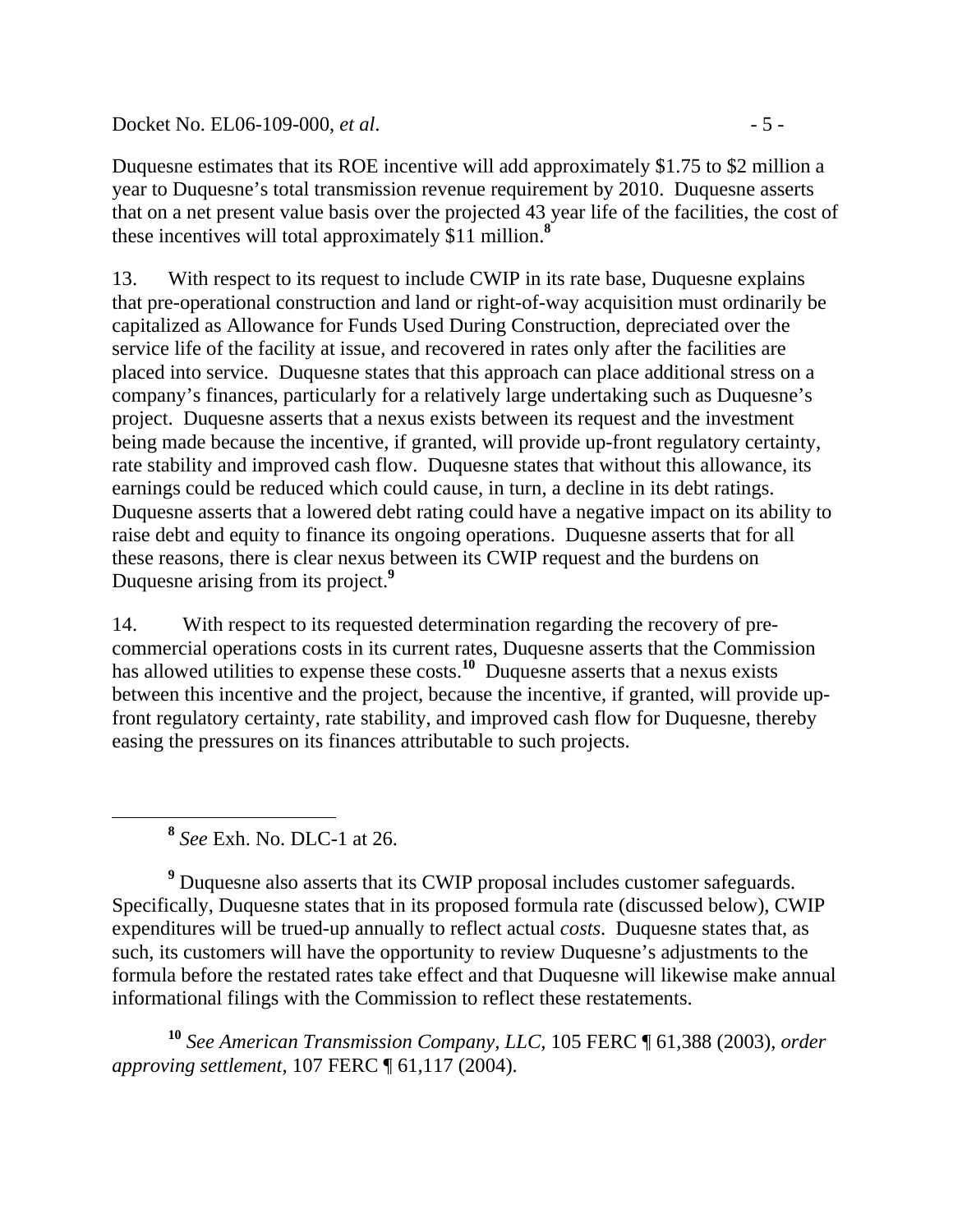Docket No. EL06-109-000, *et al.* - 5 -

Duquesne estimates that its ROE incentive will add approximately \$1.75 to \$2 million a year to Duquesne's total transmission revenue requirement by 2010. Duquesne asserts that on a net present value basis over the projected 43 year life of the facilities, the cost of these incentives will total approximately \$11 million.**<sup>8</sup>**

13. With respect to its request to include CWIP in its rate base, Duquesne explains that pre-operational construction and land or right-of-way acquisition must ordinarily be capitalized as Allowance for Funds Used During Construction, depreciated over the service life of the facility at issue, and recovered in rates only after the facilities are placed into service. Duquesne states that this approach can place additional stress on a company's finances, particularly for a relatively large undertaking such as Duquesne's project. Duquesne asserts that a nexus exists between its request and the investment being made because the incentive, if granted, will provide up-front regulatory certainty, rate stability and improved cash flow. Duquesne states that without this allowance, its earnings could be reduced which could cause, in turn, a decline in its debt ratings. Duquesne asserts that a lowered debt rating could have a negative impact on its ability to raise debt and equity to finance its ongoing operations. Duquesne asserts that for all these reasons, there is clear nexus between its CWIP request and the burdens on Duquesne arising from its project.**<sup>9</sup>**

14. With respect to its requested determination regarding the recovery of precommercial operations costs in its current rates, Duquesne asserts that the Commission has allowed utilities to expense these costs.<sup>10</sup> Duquesne asserts that a nexus exists between this incentive and the project, because the incentive, if granted, will provide upfront regulatory certainty, rate stability, and improved cash flow for Duquesne, thereby easing the pressures on its finances attributable to such projects.

**<sup>8</sup>** *See* Exh. No. DLC-1 at 26.

<sup>9</sup> Duquesne also asserts that its CWIP proposal includes customer safeguards. Specifically, Duquesne states that in its proposed formula rate (discussed below), CWIP expenditures will be trued-up annually to reflect actual *costs*. Duquesne states that, as such, its customers will have the opportunity to review Duquesne's adjustments to the formula before the restated rates take effect and that Duquesne will likewise make annual informational filings with the Commission to reflect these restatements.

**<sup>10</sup>** *See American Transmission Company, LLC,* 105 FERC ¶ 61,388 (2003), *order approving settlement,* 107 FERC ¶ 61,117 (2004).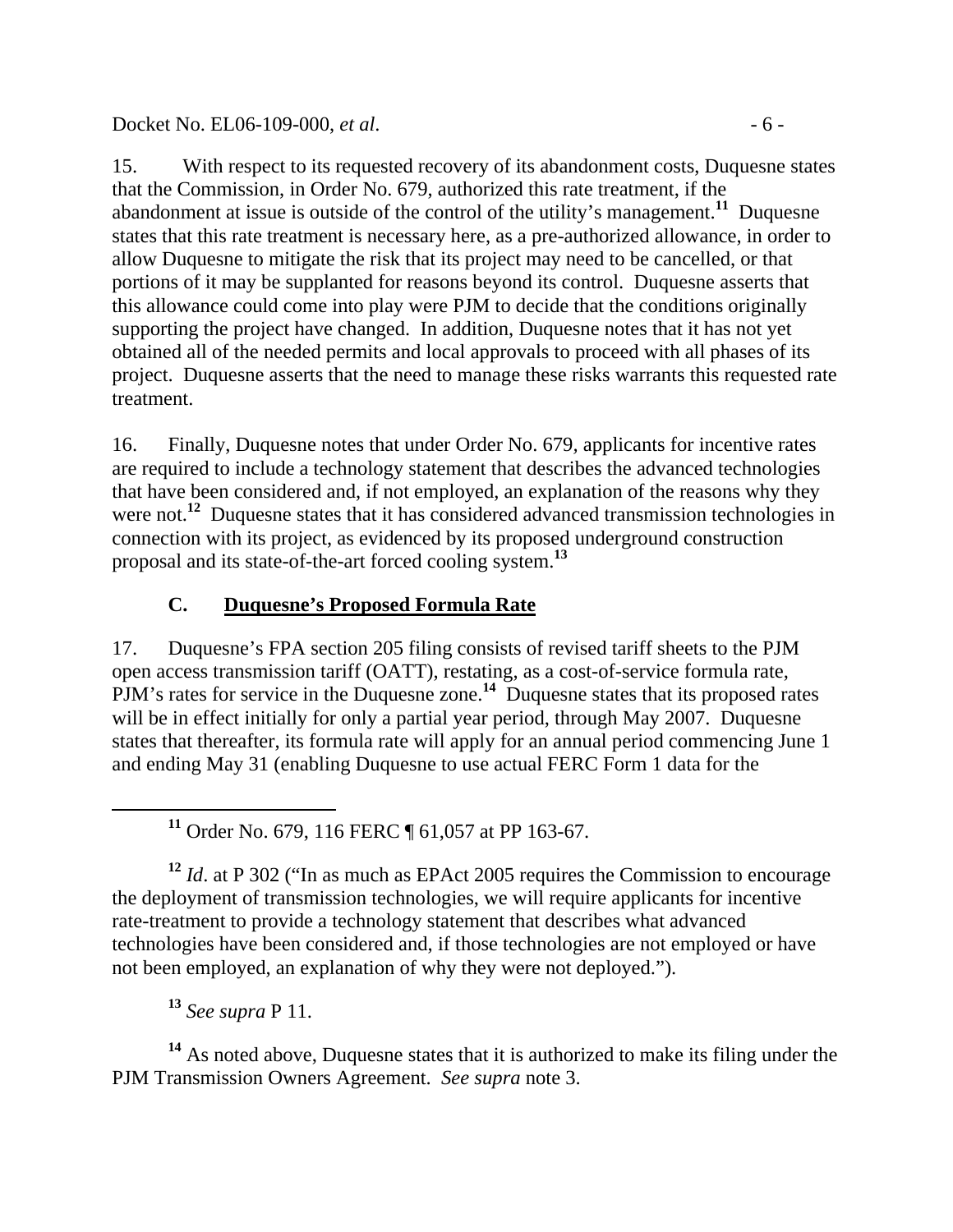### Docket No. EL06-109-000, *et al.* - 6 -

15. With respect to its requested recovery of its abandonment costs, Duquesne states that the Commission, in Order No. 679, authorized this rate treatment, if the abandonment at issue is outside of the control of the utility's management.**<sup>11</sup>** Duquesne states that this rate treatment is necessary here, as a pre-authorized allowance, in order to allow Duquesne to mitigate the risk that its project may need to be cancelled, or that portions of it may be supplanted for reasons beyond its control. Duquesne asserts that this allowance could come into play were PJM to decide that the conditions originally supporting the project have changed. In addition, Duquesne notes that it has not yet obtained all of the needed permits and local approvals to proceed with all phases of its project. Duquesne asserts that the need to manage these risks warrants this requested rate treatment.

16. Finally, Duquesne notes that under Order No. 679*,* applicants for incentive rates are required to include a technology statement that describes the advanced technologies that have been considered and, if not employed, an explanation of the reasons why they were not.<sup>12</sup> Duquesne states that it has considered advanced transmission technologies in connection with its project, as evidenced by its proposed underground construction proposal and its state-of-the-art forced cooling system.**<sup>13</sup>**

# **C. Duquesne's Proposed Formula Rate**

17. Duquesne's FPA section 205 filing consists of revised tariff sheets to the PJM open access transmission tariff (OATT), restating, as a cost-of-service formula rate, PJM's rates for service in the Duquesne zone.<sup>14</sup> Duquesne states that its proposed rates will be in effect initially for only a partial year period, through May 2007. Duquesne states that thereafter, its formula rate will apply for an annual period commencing June 1 and ending May 31 (enabling Duquesne to use actual FERC Form 1 data for the

**<sup>11</sup>** Order No. 679, 116 FERC ¶ 61,057 at PP 163-67.

**<sup>12</sup>** *Id*. at P 302 ("In as much as EPAct 2005 requires the Commission to encourage the deployment of transmission technologies, we will require applicants for incentive rate-treatment to provide a technology statement that describes what advanced technologies have been considered and, if those technologies are not employed or have not been employed, an explanation of why they were not deployed.").

**<sup>13</sup>** *See supra* P 11.

**<sup>14</sup>** As noted above, Duquesne states that it is authorized to make its filing under the PJM Transmission Owners Agreement. *See supra* note 3.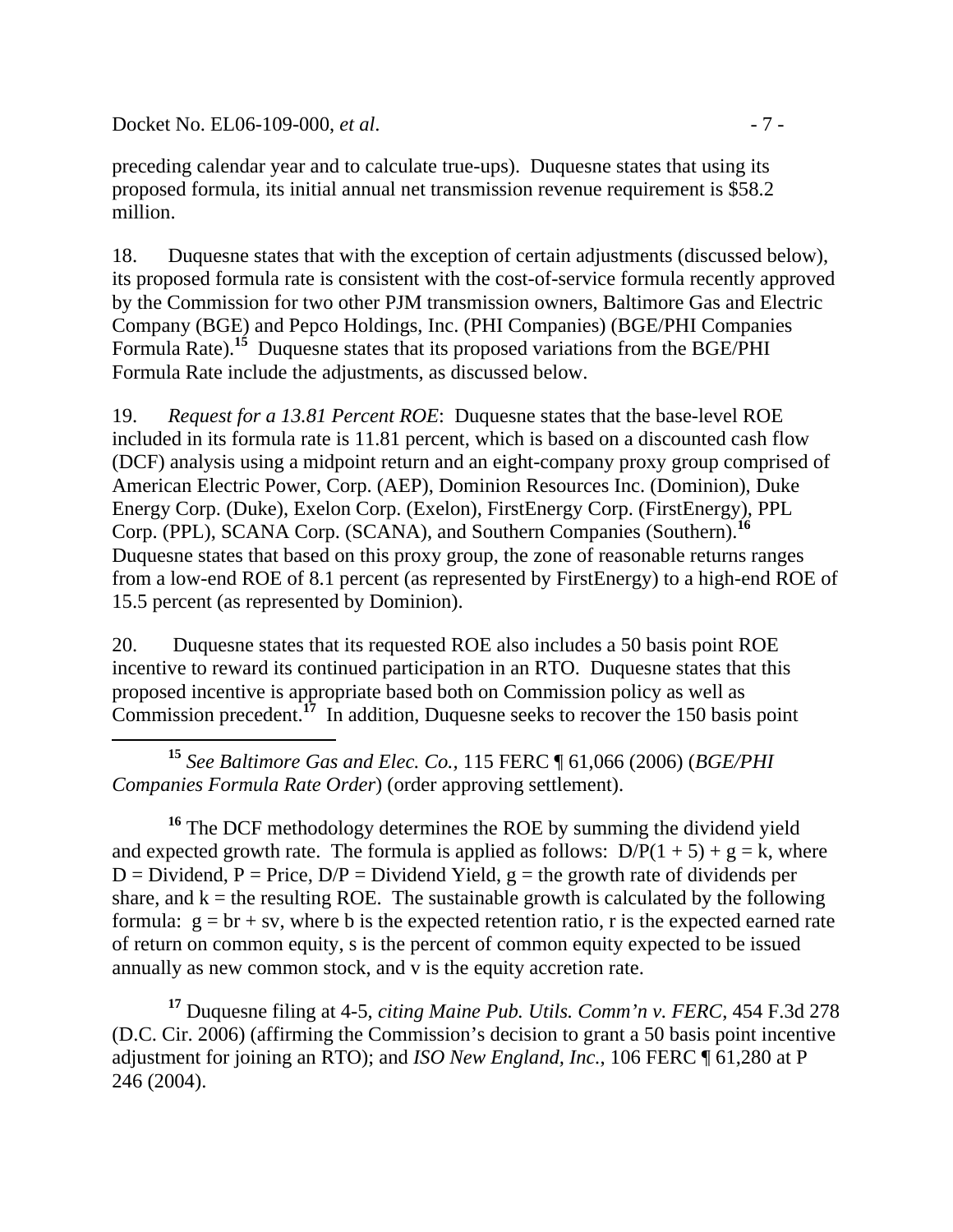Docket No. EL06-109-000, *et al.* - 7 -

preceding calendar year and to calculate true-ups). Duquesne states that using its proposed formula, its initial annual net transmission revenue requirement is \$58.2 million.

18. Duquesne states that with the exception of certain adjustments (discussed below), its proposed formula rate is consistent with the cost-of-service formula recently approved by the Commission for two other PJM transmission owners, Baltimore Gas and Electric Company (BGE) and Pepco Holdings, Inc. (PHI Companies) (BGE/PHI Companies Formula Rate).**<sup>15</sup>** Duquesne states that its proposed variations from the BGE/PHI Formula Rate include the adjustments, as discussed below.

19. *Request for a 13.81 Percent ROE*: Duquesne states that the base-level ROE included in its formula rate is 11.81 percent, which is based on a discounted cash flow (DCF) analysis using a midpoint return and an eight-company proxy group comprised of American Electric Power, Corp. (AEP), Dominion Resources Inc. (Dominion), Duke Energy Corp. (Duke), Exelon Corp. (Exelon), FirstEnergy Corp. (FirstEnergy), PPL Corp. (PPL), SCANA Corp. (SCANA), and Southern Companies (Southern).**<sup>16</sup>** Duquesne states that based on this proxy group, the zone of reasonable returns ranges from a low-end ROE of 8.1 percent (as represented by FirstEnergy) to a high-end ROE of 15.5 percent (as represented by Dominion).

20. Duquesne states that its requested ROE also includes a 50 basis point ROE incentive to reward its continued participation in an RTO. Duquesne states that this proposed incentive is appropriate based both on Commission policy as well as Commission precedent.**<sup>17</sup>** In addition, Duquesne seeks to recover the 150 basis point

 **<sup>15</sup>** *See Baltimore Gas and Elec. Co.,* 115 FERC ¶ 61,066 (2006) (*BGE/PHI Companies Formula Rate Order*) (order approving settlement).

<sup>16</sup> The DCF methodology determines the ROE by summing the dividend yield and expected growth rate. The formula is applied as follows:  $D/P(1 + 5) + g = k$ , where  $D = Dividend$ ,  $P = Price$ ,  $D/P = Dividend$  Yield,  $g = the growth rate of dividends per$ share, and  $k =$  the resulting ROE. The sustainable growth is calculated by the following formula:  $g = br + sv$ , where b is the expected retention ratio, r is the expected earned rate of return on common equity, s is the percent of common equity expected to be issued annually as new common stock, and v is the equity accretion rate.

**<sup>17</sup>** Duquesne filing at 4-5, *citing Maine Pub. Utils. Comm'n v. FERC*, 454 F.3d 278 (D.C. Cir. 2006) (affirming the Commission's decision to grant a 50 basis point incentive adjustment for joining an RTO); and *ISO New England, Inc.*, 106 FERC ¶ 61,280 at P 246 (2004).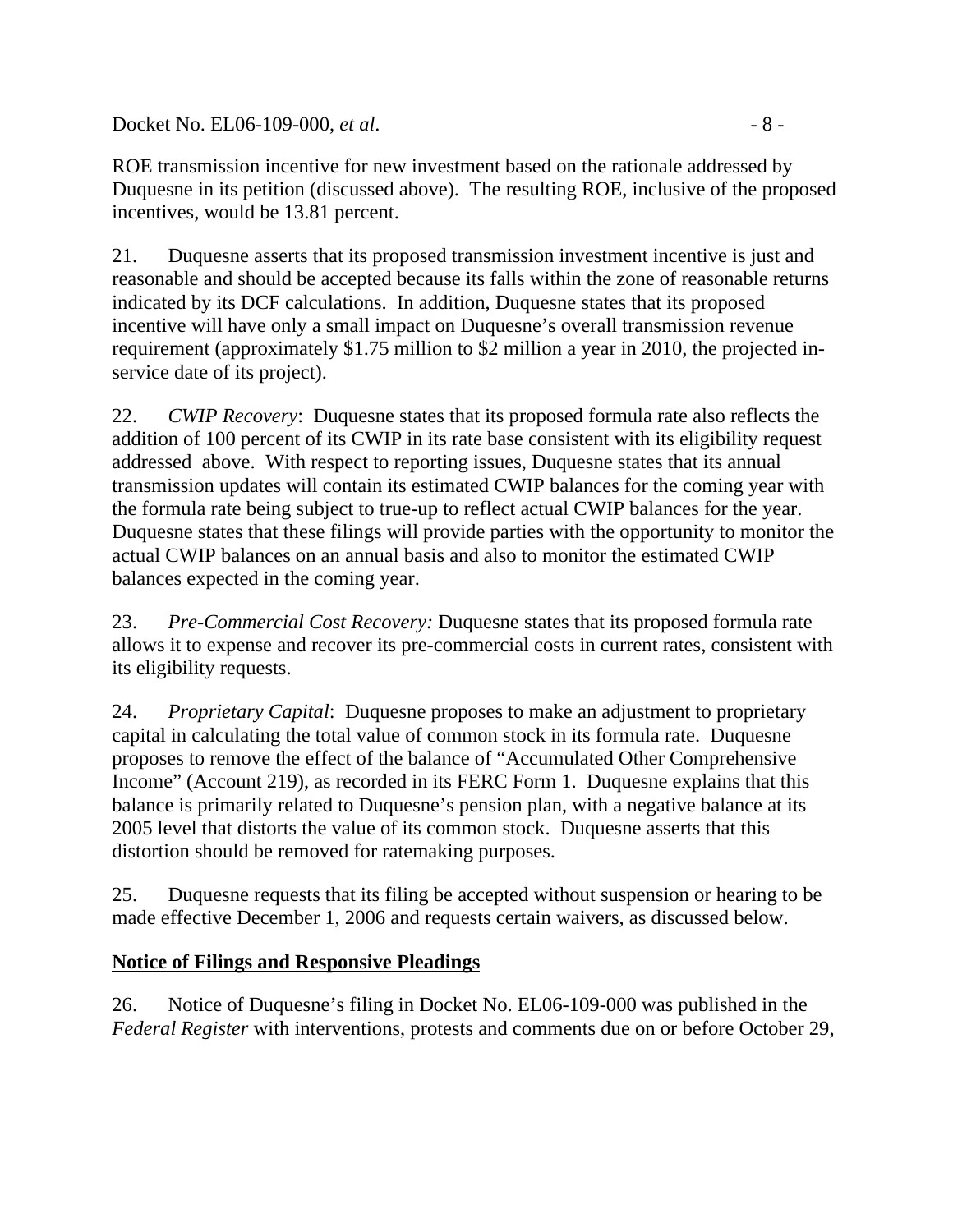Docket No. EL06-109-000, *et al.* - 8 -

ROE transmission incentive for new investment based on the rationale addressed by Duquesne in its petition (discussed above). The resulting ROE, inclusive of the proposed incentives, would be 13.81 percent.

21. Duquesne asserts that its proposed transmission investment incentive is just and reasonable and should be accepted because its falls within the zone of reasonable returns indicated by its DCF calculations. In addition, Duquesne states that its proposed incentive will have only a small impact on Duquesne's overall transmission revenue requirement (approximately \$1.75 million to \$2 million a year in 2010, the projected inservice date of its project).

22. *CWIP Recovery*: Duquesne states that its proposed formula rate also reflects the addition of 100 percent of its CWIP in its rate base consistent with its eligibility request addressed above. With respect to reporting issues, Duquesne states that its annual transmission updates will contain its estimated CWIP balances for the coming year with the formula rate being subject to true-up to reflect actual CWIP balances for the year. Duquesne states that these filings will provide parties with the opportunity to monitor the actual CWIP balances on an annual basis and also to monitor the estimated CWIP balances expected in the coming year.

23. *Pre-Commercial Cost Recovery:* Duquesne states that its proposed formula rate allows it to expense and recover its pre-commercial costs in current rates, consistent with its eligibility requests.

24. *Proprietary Capital*: Duquesne proposes to make an adjustment to proprietary capital in calculating the total value of common stock in its formula rate. Duquesne proposes to remove the effect of the balance of "Accumulated Other Comprehensive Income" (Account 219), as recorded in its FERC Form 1. Duquesne explains that this balance is primarily related to Duquesne's pension plan, with a negative balance at its 2005 level that distorts the value of its common stock. Duquesne asserts that this distortion should be removed for ratemaking purposes.

25. Duquesne requests that its filing be accepted without suspension or hearing to be made effective December 1, 2006 and requests certain waivers, as discussed below.

# **Notice of Filings and Responsive Pleadings**

26. Notice of Duquesne's filing in Docket No. EL06-109-000 was published in the *Federal Register* with interventions, protests and comments due on or before October 29,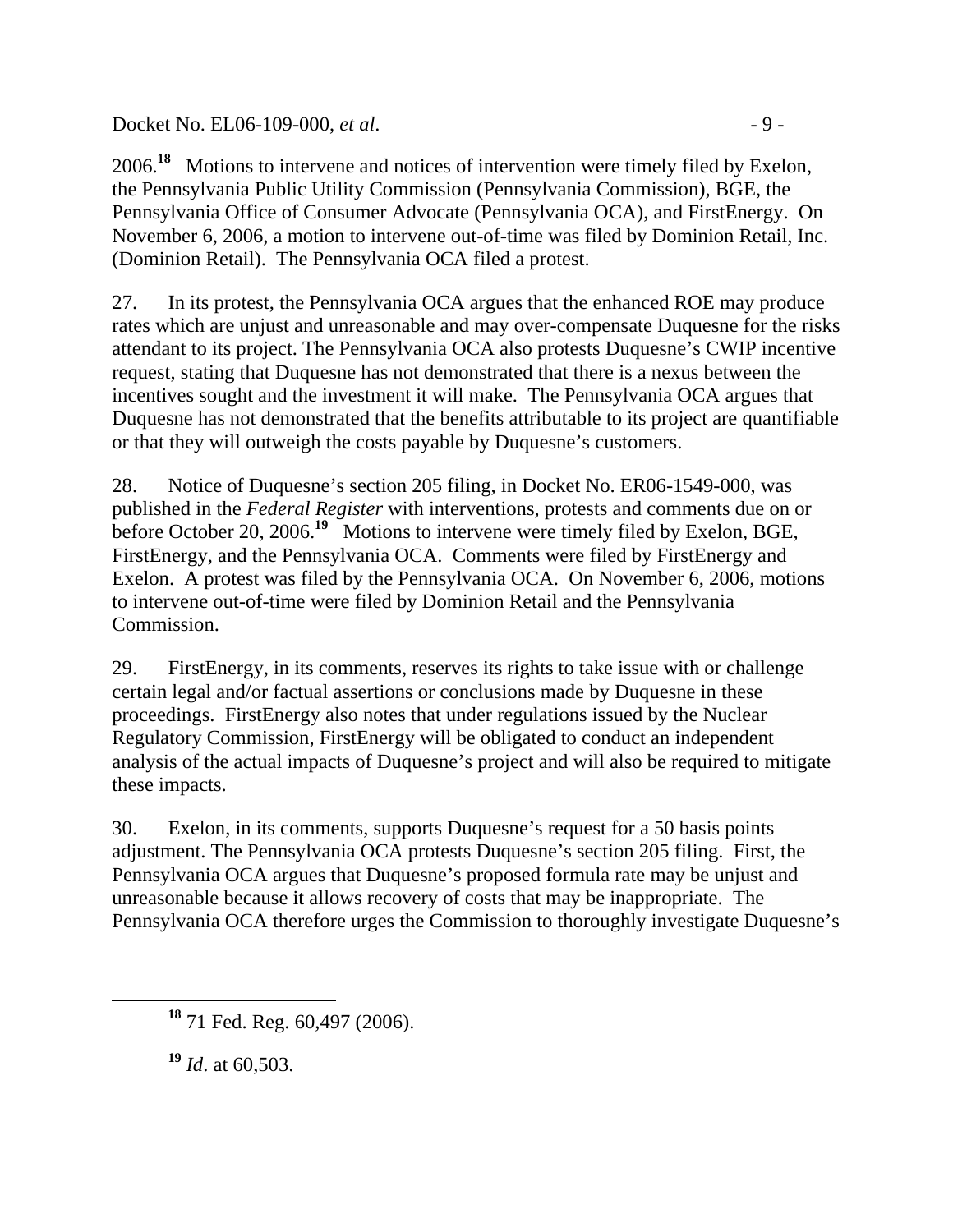Docket No. EL06-109-000, *et al.* - 9 -

2006.**<sup>18</sup>** Motions to intervene and notices of intervention were timely filed by Exelon, the Pennsylvania Public Utility Commission (Pennsylvania Commission), BGE, the Pennsylvania Office of Consumer Advocate (Pennsylvania OCA), and FirstEnergy. On November 6, 2006, a motion to intervene out-of-time was filed by Dominion Retail, Inc. (Dominion Retail). The Pennsylvania OCA filed a protest.

27. In its protest, the Pennsylvania OCA argues that the enhanced ROE may produce rates which are unjust and unreasonable and may over-compensate Duquesne for the risks attendant to its project. The Pennsylvania OCA also protests Duquesne's CWIP incentive request, stating that Duquesne has not demonstrated that there is a nexus between the incentives sought and the investment it will make. The Pennsylvania OCA argues that Duquesne has not demonstrated that the benefits attributable to its project are quantifiable or that they will outweigh the costs payable by Duquesne's customers.

28. Notice of Duquesne's section 205 filing, in Docket No. ER06-1549-000, was published in the *Federal Register* with interventions, protests and comments due on or before October 20, 2006.<sup>19</sup> Motions to intervene were timely filed by Exelon, BGE, FirstEnergy, and the Pennsylvania OCA. Comments were filed by FirstEnergy and Exelon. A protest was filed by the Pennsylvania OCA. On November 6, 2006, motions to intervene out-of-time were filed by Dominion Retail and the Pennsylvania Commission.

29. FirstEnergy, in its comments, reserves its rights to take issue with or challenge certain legal and/or factual assertions or conclusions made by Duquesne in these proceedings. FirstEnergy also notes that under regulations issued by the Nuclear Regulatory Commission, FirstEnergy will be obligated to conduct an independent analysis of the actual impacts of Duquesne's project and will also be required to mitigate these impacts.

30. Exelon, in its comments, supports Duquesne's request for a 50 basis points adjustment. The Pennsylvania OCA protests Duquesne's section 205 filing. First, the Pennsylvania OCA argues that Duquesne's proposed formula rate may be unjust and unreasonable because it allows recovery of costs that may be inappropriate. The Pennsylvania OCA therefore urges the Commission to thoroughly investigate Duquesne's

**<sup>19</sup>** *Id*. at 60,503.

**<sup>18</sup>** 71 Fed. Reg. 60,497 (2006).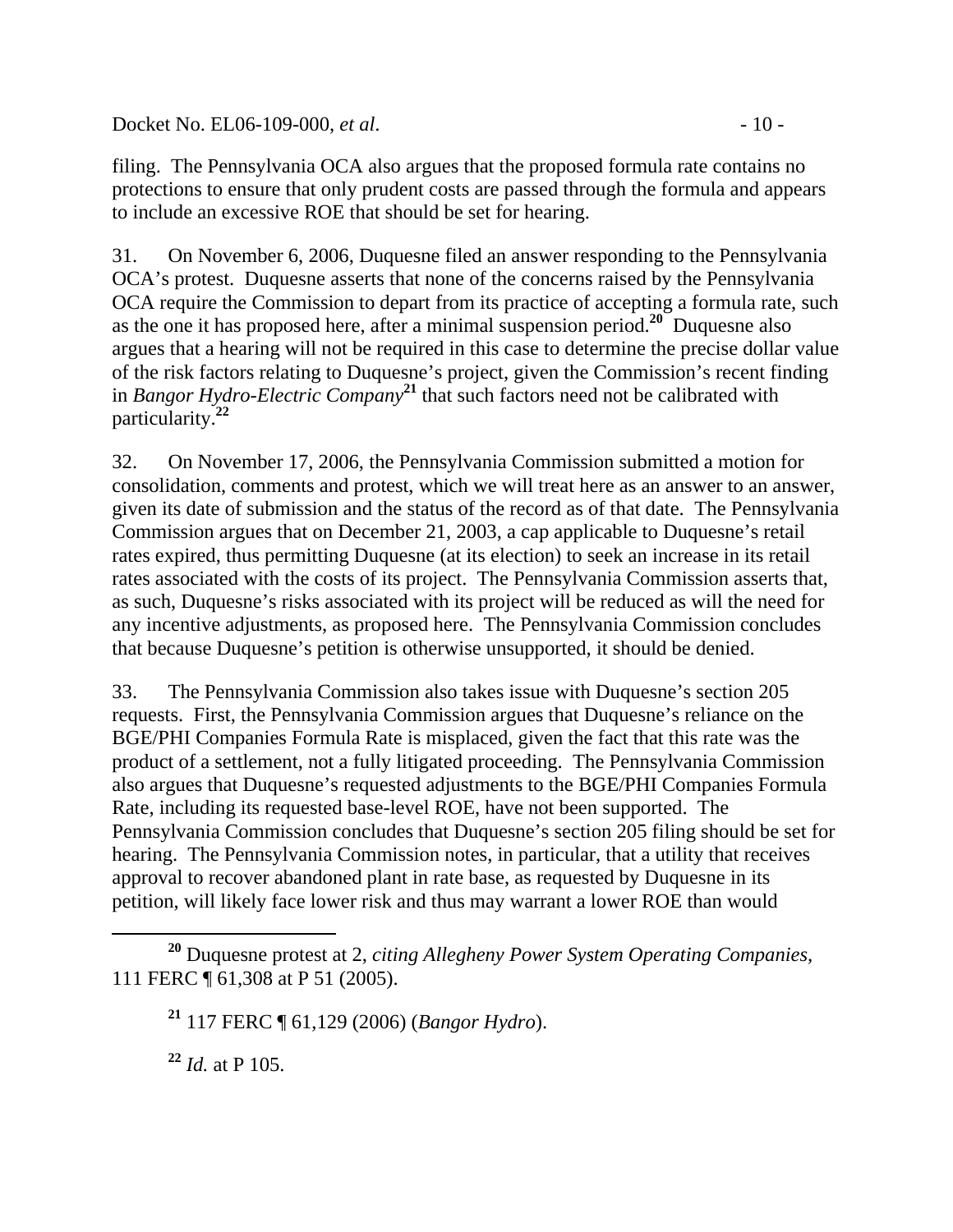Docket No. EL06-109-000, *et al.* - 10 -

filing. The Pennsylvania OCA also argues that the proposed formula rate contains no protections to ensure that only prudent costs are passed through the formula and appears to include an excessive ROE that should be set for hearing.

31. On November 6, 2006, Duquesne filed an answer responding to the Pennsylvania OCA's protest. Duquesne asserts that none of the concerns raised by the Pennsylvania OCA require the Commission to depart from its practice of accepting a formula rate, such as the one it has proposed here, after a minimal suspension period.**<sup>20</sup>** Duquesne also argues that a hearing will not be required in this case to determine the precise dollar value of the risk factors relating to Duquesne's project, given the Commission's recent finding in *Bangor Hydro-Electric Company***<sup>21</sup>** that such factors need not be calibrated with particularity.**<sup>22</sup>**

32. On November 17, 2006, the Pennsylvania Commission submitted a motion for consolidation, comments and protest, which we will treat here as an answer to an answer, given its date of submission and the status of the record as of that date. The Pennsylvania Commission argues that on December 21, 2003, a cap applicable to Duquesne's retail rates expired, thus permitting Duquesne (at its election) to seek an increase in its retail rates associated with the costs of its project. The Pennsylvania Commission asserts that, as such, Duquesne's risks associated with its project will be reduced as will the need for any incentive adjustments, as proposed here. The Pennsylvania Commission concludes that because Duquesne's petition is otherwise unsupported, it should be denied.

33. The Pennsylvania Commission also takes issue with Duquesne's section 205 requests. First, the Pennsylvania Commission argues that Duquesne's reliance on the BGE/PHI Companies Formula Rate is misplaced, given the fact that this rate was the product of a settlement, not a fully litigated proceeding. The Pennsylvania Commission also argues that Duquesne's requested adjustments to the BGE/PHI Companies Formula Rate, including its requested base-level ROE, have not been supported. The Pennsylvania Commission concludes that Duquesne's section 205 filing should be set for hearing. The Pennsylvania Commission notes, in particular, that a utility that receives approval to recover abandoned plant in rate base, as requested by Duquesne in its petition, will likely face lower risk and thus may warrant a lower ROE than would

**<sup>22</sup>** *Id.* at P 105.

**<sup>20</sup>** Duquesne protest at 2, *citing Allegheny Power System Operating Companies,*  111 FERC ¶ 61,308 at P 51 (2005).

**<sup>21</sup>** 117 FERC ¶ 61,129 (2006) (*Bangor Hydro*).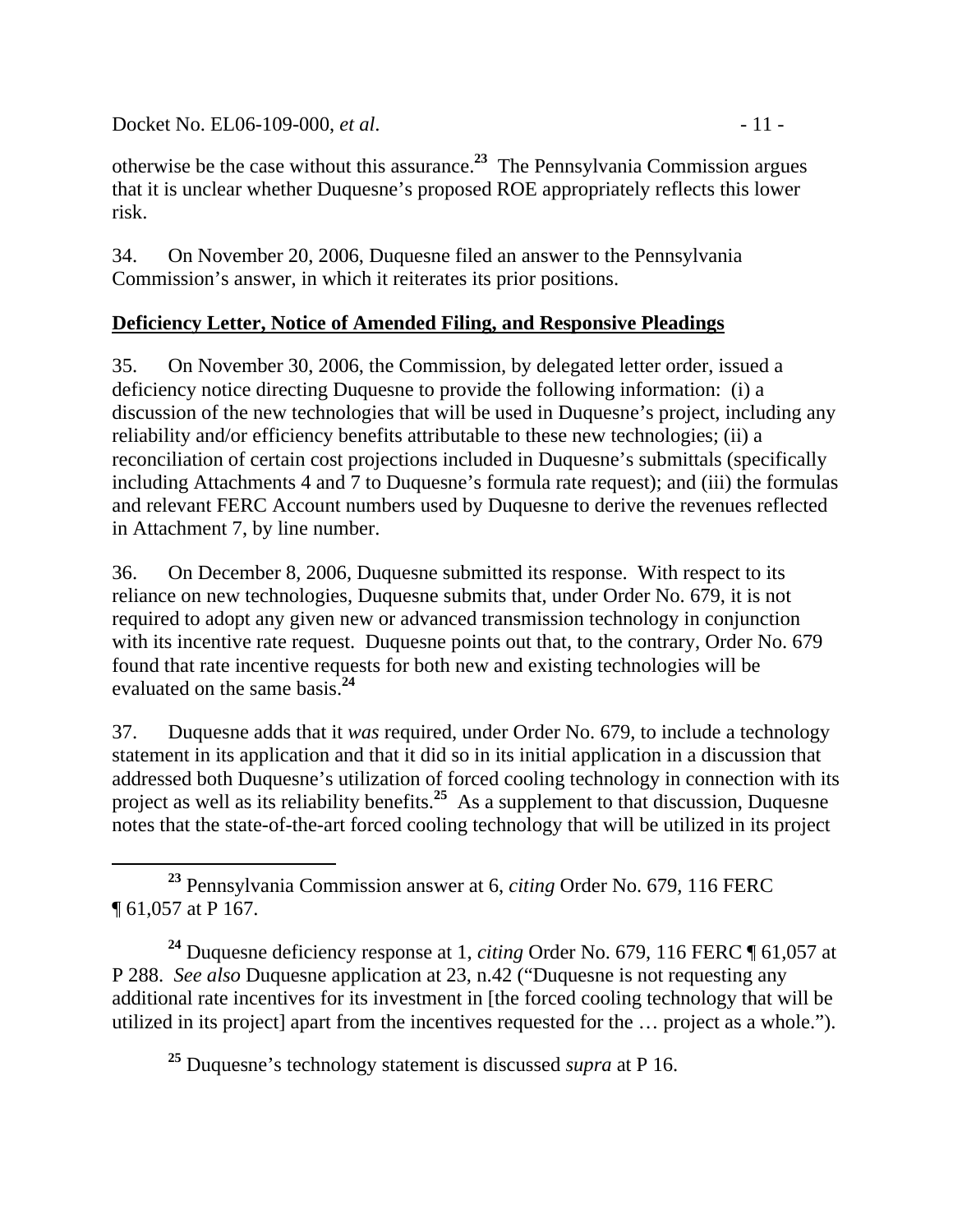Docket No. EL06-109-000, *et al.* - 11 -

otherwise be the case without this assurance.**<sup>23</sup>** The Pennsylvania Commission argues that it is unclear whether Duquesne's proposed ROE appropriately reflects this lower risk.

34. On November 20, 2006, Duquesne filed an answer to the Pennsylvania Commission's answer, in which it reiterates its prior positions.

# **Deficiency Letter, Notice of Amended Filing, and Responsive Pleadings**

35. On November 30, 2006, the Commission, by delegated letter order, issued a deficiency notice directing Duquesne to provide the following information: (i) a discussion of the new technologies that will be used in Duquesne's project, including any reliability and/or efficiency benefits attributable to these new technologies; (ii) a reconciliation of certain cost projections included in Duquesne's submittals (specifically including Attachments 4 and 7 to Duquesne's formula rate request); and (iii) the formulas and relevant FERC Account numbers used by Duquesne to derive the revenues reflected in Attachment 7, by line number.

36. On December 8, 2006, Duquesne submitted its response. With respect to its reliance on new technologies, Duquesne submits that, under Order No. 679, it is not required to adopt any given new or advanced transmission technology in conjunction with its incentive rate request. Duquesne points out that, to the contrary, Order No. 679 found that rate incentive requests for both new and existing technologies will be evaluated on the same basis.**<sup>24</sup>**

37. Duquesne adds that it *was* required, under Order No. 679, to include a technology statement in its application and that it did so in its initial application in a discussion that addressed both Duquesne's utilization of forced cooling technology in connection with its project as well as its reliability benefits.<sup>25</sup> As a supplement to that discussion, Duquesne notes that the state-of-the-art forced cooling technology that will be utilized in its project

 **<sup>23</sup>** Pennsylvania Commission answer at 6, *citing* Order No. 679, 116 FERC ¶ 61,057 at P 167.

**<sup>24</sup>** Duquesne deficiency response at 1, *citing* Order No. 679, 116 FERC ¶ 61,057 at P 288. *See also* Duquesne application at 23, n.42 ("Duquesne is not requesting any additional rate incentives for its investment in [the forced cooling technology that will be utilized in its project] apart from the incentives requested for the … project as a whole.").

**<sup>25</sup>** Duquesne's technology statement is discussed *supra* at P 16.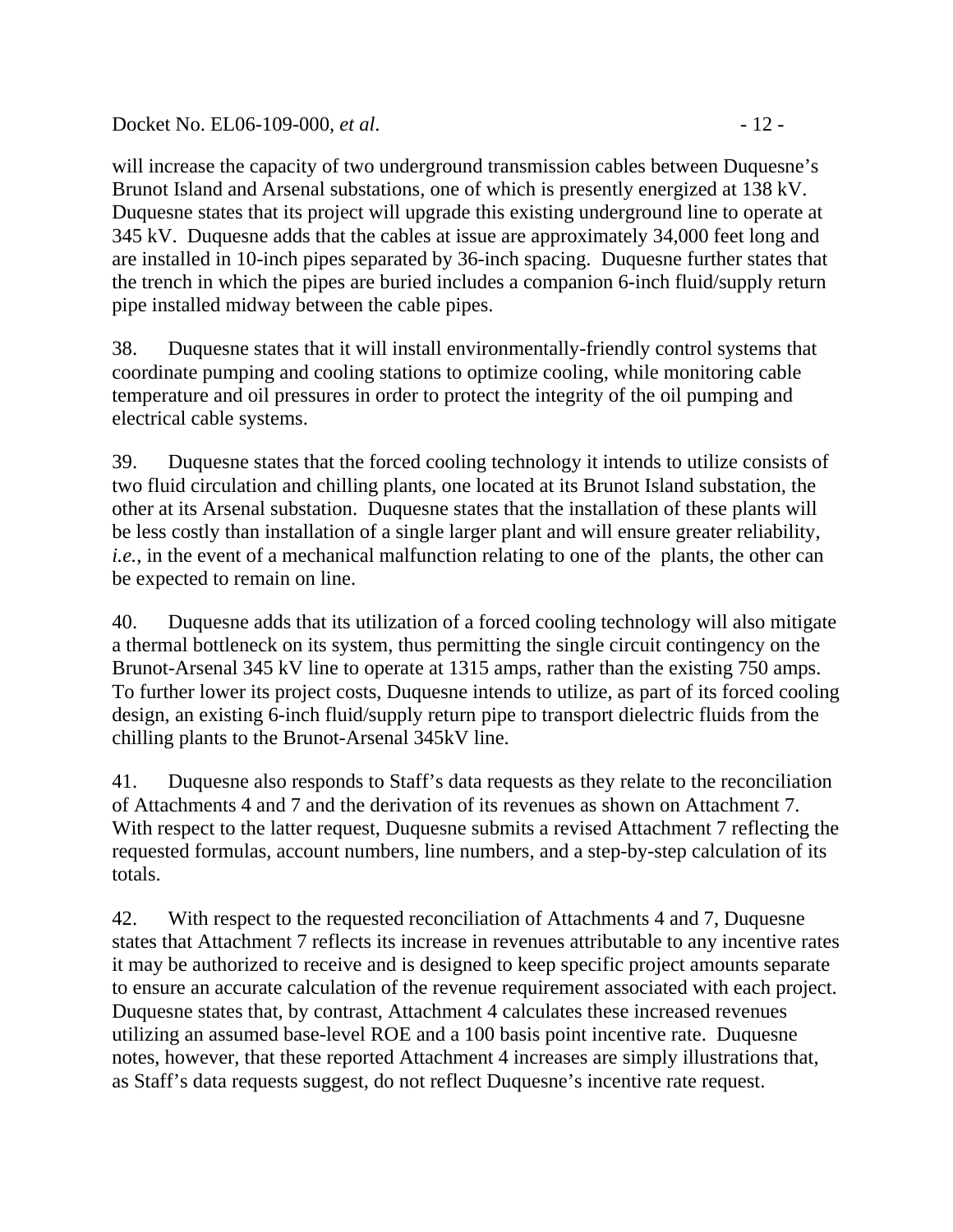Docket No. EL06-109-000, *et al.* - 12 -

will increase the capacity of two underground transmission cables between Duquesne's Brunot Island and Arsenal substations, one of which is presently energized at 138 kV. Duquesne states that its project will upgrade this existing underground line to operate at 345 kV. Duquesne adds that the cables at issue are approximately 34,000 feet long and are installed in 10-inch pipes separated by 36-inch spacing. Duquesne further states that the trench in which the pipes are buried includes a companion 6-inch fluid/supply return pipe installed midway between the cable pipes.

38. Duquesne states that it will install environmentally-friendly control systems that coordinate pumping and cooling stations to optimize cooling, while monitoring cable temperature and oil pressures in order to protect the integrity of the oil pumping and electrical cable systems.

39. Duquesne states that the forced cooling technology it intends to utilize consists of two fluid circulation and chilling plants, one located at its Brunot Island substation, the other at its Arsenal substation. Duquesne states that the installation of these plants will be less costly than installation of a single larger plant and will ensure greater reliability, *i.e.*, in the event of a mechanical malfunction relating to one of the plants, the other can be expected to remain on line.

40. Duquesne adds that its utilization of a forced cooling technology will also mitigate a thermal bottleneck on its system, thus permitting the single circuit contingency on the Brunot-Arsenal 345 kV line to operate at 1315 amps, rather than the existing 750 amps. To further lower its project costs, Duquesne intends to utilize, as part of its forced cooling design, an existing 6-inch fluid/supply return pipe to transport dielectric fluids from the chilling plants to the Brunot-Arsenal 345kV line.

41. Duquesne also responds to Staff's data requests as they relate to the reconciliation of Attachments 4 and 7 and the derivation of its revenues as shown on Attachment 7. With respect to the latter request, Duquesne submits a revised Attachment 7 reflecting the requested formulas, account numbers, line numbers, and a step-by-step calculation of its totals.

42. With respect to the requested reconciliation of Attachments 4 and 7, Duquesne states that Attachment 7 reflects its increase in revenues attributable to any incentive rates it may be authorized to receive and is designed to keep specific project amounts separate to ensure an accurate calculation of the revenue requirement associated with each project. Duquesne states that, by contrast, Attachment 4 calculates these increased revenues utilizing an assumed base-level ROE and a 100 basis point incentive rate. Duquesne notes, however, that these reported Attachment 4 increases are simply illustrations that, as Staff's data requests suggest, do not reflect Duquesne's incentive rate request.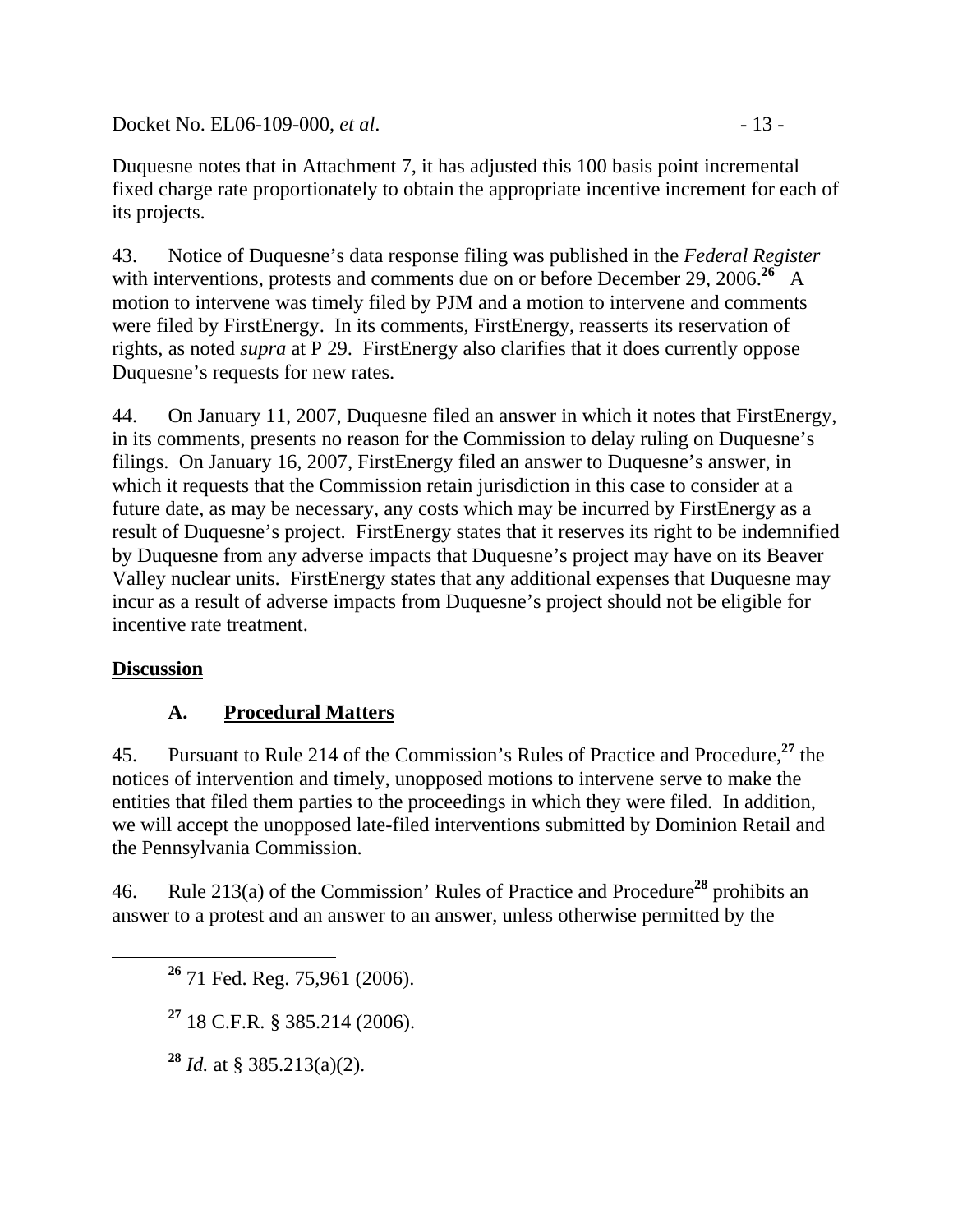Docket No. EL06-109-000, *et al.* - 13 -

43. Notice of Duquesne's data response filing was published in the *Federal Register* with interventions, protests and comments due on or before December 29, 2006.<sup>26</sup> A motion to intervene was timely filed by PJM and a motion to intervene and comments were filed by FirstEnergy. In its comments, FirstEnergy, reasserts its reservation of rights, as noted *supra* at P 29. FirstEnergy also clarifies that it does currently oppose Duquesne's requests for new rates.

44. On January 11, 2007, Duquesne filed an answer in which it notes that FirstEnergy, in its comments, presents no reason for the Commission to delay ruling on Duquesne's filings. On January 16, 2007, FirstEnergy filed an answer to Duquesne's answer, in which it requests that the Commission retain jurisdiction in this case to consider at a future date, as may be necessary, any costs which may be incurred by FirstEnergy as a result of Duquesne's project. FirstEnergy states that it reserves its right to be indemnified by Duquesne from any adverse impacts that Duquesne's project may have on its Beaver Valley nuclear units. FirstEnergy states that any additional expenses that Duquesne may incur as a result of adverse impacts from Duquesne's project should not be eligible for incentive rate treatment.

# **Discussion**

# **A. Procedural Matters**

45. Pursuant to Rule 214 of the Commission's Rules of Practice and Procedure,**<sup>27</sup>** the notices of intervention and timely, unopposed motions to intervene serve to make the entities that filed them parties to the proceedings in which they were filed. In addition, we will accept the unopposed late-filed interventions submitted by Dominion Retail and the Pennsylvania Commission.

46. Rule 213(a) of the Commission' Rules of Practice and Procedure**<sup>28</sup>** prohibits an answer to a protest and an answer to an answer, unless otherwise permitted by the

**<sup>27</sup>** 18 C.F.R. § 385.214 (2006).

**<sup>28</sup>** *Id.* at § 385.213(a)(2).

**<sup>26</sup>** 71 Fed. Reg. 75,961 (2006).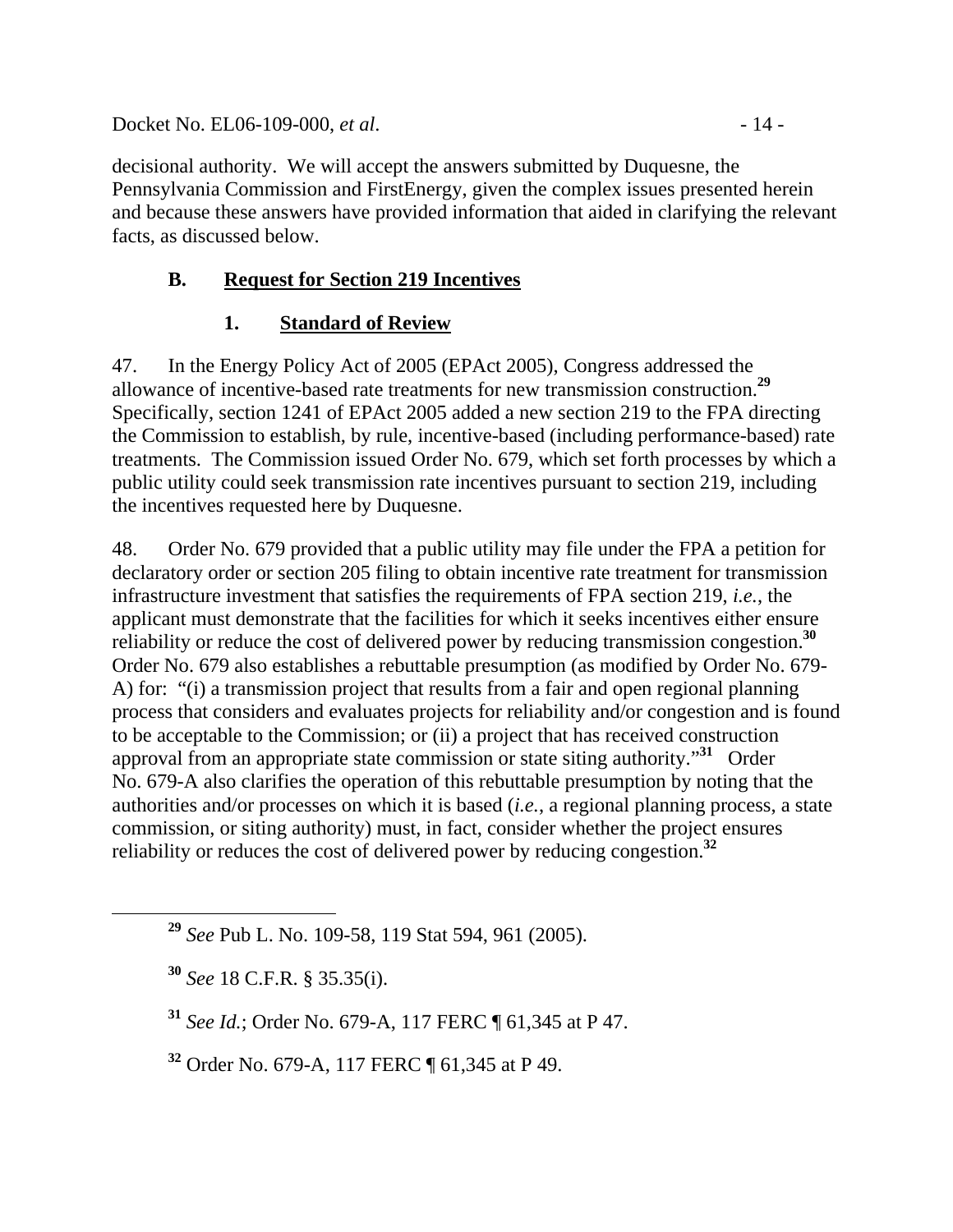Docket No. EL06-109-000, *et al.* - 14 -

decisional authority. We will accept the answers submitted by Duquesne, the Pennsylvania Commission and FirstEnergy, given the complex issues presented herein and because these answers have provided information that aided in clarifying the relevant facts, as discussed below.

# **B. Request for Section 219 Incentives**

# **1. Standard of Review**

47. In the Energy Policy Act of 2005 (EPAct 2005), Congress addressed the allowance of incentive-based rate treatments for new transmission construction.**<sup>29</sup>** Specifically, section 1241 of EPAct 2005 added a new section 219 to the FPA directing the Commission to establish, by rule, incentive-based (including performance-based) rate treatments. The Commission issued Order No. 679, which set forth processes by which a public utility could seek transmission rate incentives pursuant to section 219, including the incentives requested here by Duquesne.

48. Order No. 679 provided that a public utility may file under the FPA a petition for declaratory order or section 205 filing to obtain incentive rate treatment for transmission infrastructure investment that satisfies the requirements of FPA section 219, *i.e.*, the applicant must demonstrate that the facilities for which it seeks incentives either ensure reliability or reduce the cost of delivered power by reducing transmission congestion.**<sup>30</sup>** Order No. 679 also establishes a rebuttable presumption (as modified by Order No. 679- A) for: "(i) a transmission project that results from a fair and open regional planning process that considers and evaluates projects for reliability and/or congestion and is found to be acceptable to the Commission; or (ii) a project that has received construction approval from an appropriate state commission or state siting authority."**<sup>31</sup>** Order No. 679-A also clarifies the operation of this rebuttable presumption by noting that the authorities and/or processes on which it is based (*i.e.*, a regional planning process, a state commission, or siting authority) must, in fact, consider whether the project ensures reliability or reduces the cost of delivered power by reducing congestion.**<sup>32</sup>**

**<sup>29</sup>** *See* Pub L. No. 109-58, 119 Stat 594, 961 (2005).

**<sup>30</sup>** *See* 18 C.F.R. § 35.35(i).

**<sup>31</sup>** *See Id.*; Order No. 679-A, 117 FERC ¶ 61,345 at P 47.

**<sup>32</sup>** Order No. 679-A, 117 FERC ¶ 61,345 at P 49.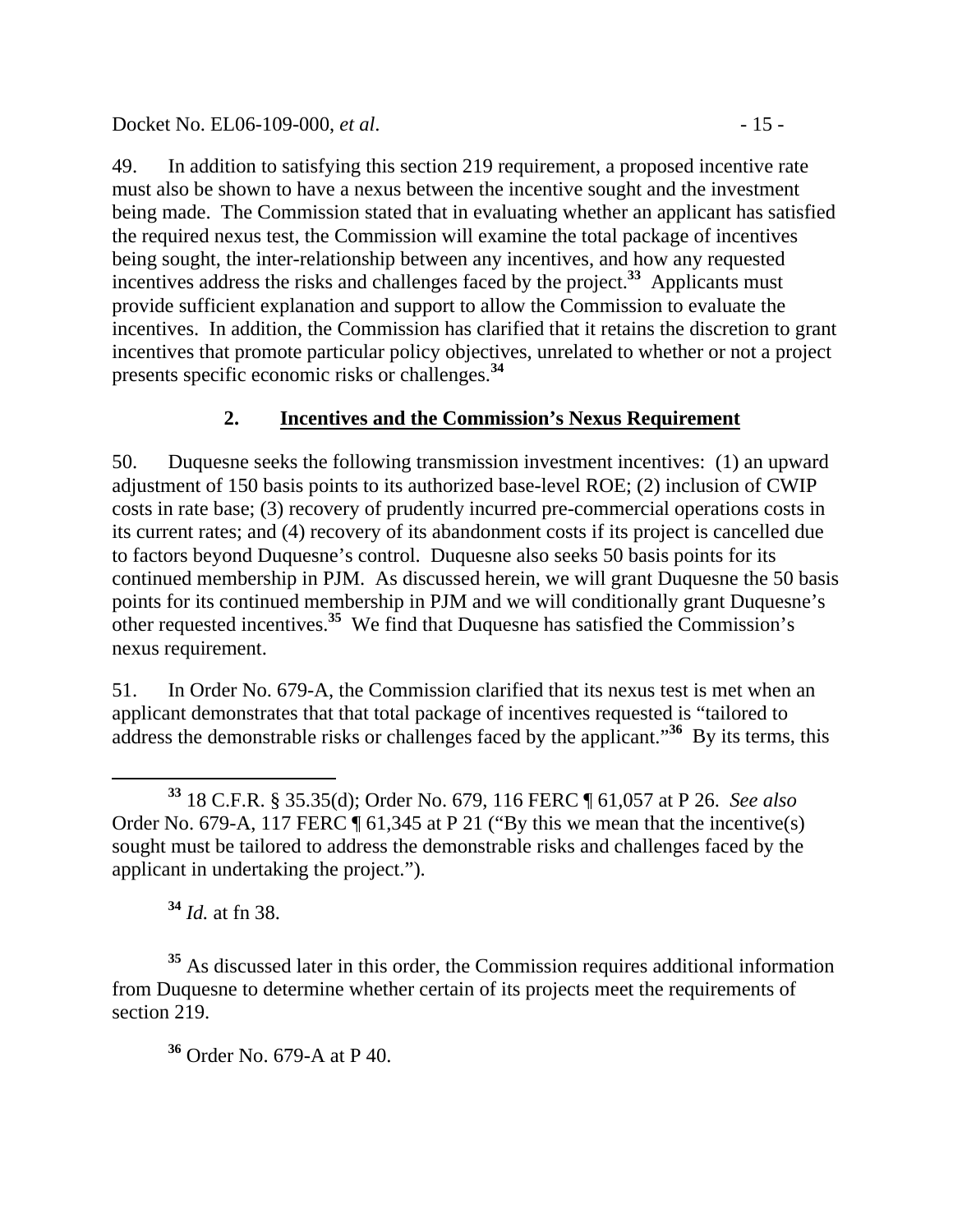Docket No. EL06-109-000, *et al.* - 15 -

49. In addition to satisfying this section 219 requirement, a proposed incentive rate must also be shown to have a nexus between the incentive sought and the investment being made. The Commission stated that in evaluating whether an applicant has satisfied the required nexus test, the Commission will examine the total package of incentives being sought, the inter-relationship between any incentives, and how any requested incentives address the risks and challenges faced by the project.**<sup>33</sup>** Applicants must provide sufficient explanation and support to allow the Commission to evaluate the incentives. In addition, the Commission has clarified that it retains the discretion to grant incentives that promote particular policy objectives, unrelated to whether or not a project presents specific economic risks or challenges.**<sup>34</sup>**

# **2. Incentives and the Commission's Nexus Requirement**

50. Duquesne seeks the following transmission investment incentives: (1) an upward adjustment of 150 basis points to its authorized base-level ROE; (2) inclusion of CWIP costs in rate base; (3) recovery of prudently incurred pre-commercial operations costs in its current rates; and (4) recovery of its abandonment costs if its project is cancelled due to factors beyond Duquesne's control. Duquesne also seeks 50 basis points for its continued membership in PJM. As discussed herein, we will grant Duquesne the 50 basis points for its continued membership in PJM and we will conditionally grant Duquesne's other requested incentives.**<sup>35</sup>** We find that Duquesne has satisfied the Commission's nexus requirement.

51. In Order No. 679-A, the Commission clarified that its nexus test is met when an applicant demonstrates that that total package of incentives requested is "tailored to address the demonstrable risks or challenges faced by the applicant."**<sup>36</sup>** By its terms, this

**<sup>34</sup>** *Id.* at fn 38.

**<sup>35</sup>** As discussed later in this order, the Commission requires additional information from Duquesne to determine whether certain of its projects meet the requirements of section 219.

**<sup>36</sup>** Order No. 679-A at P 40.

**<sup>33</sup>** 18 C.F.R. § 35.35(d); Order No. 679, 116 FERC ¶ 61,057 at P 26. *See also*  Order No. 679-A, 117 FERC  $\P$  61,345 at P 21 ("By this we mean that the incentive(s) sought must be tailored to address the demonstrable risks and challenges faced by the applicant in undertaking the project.").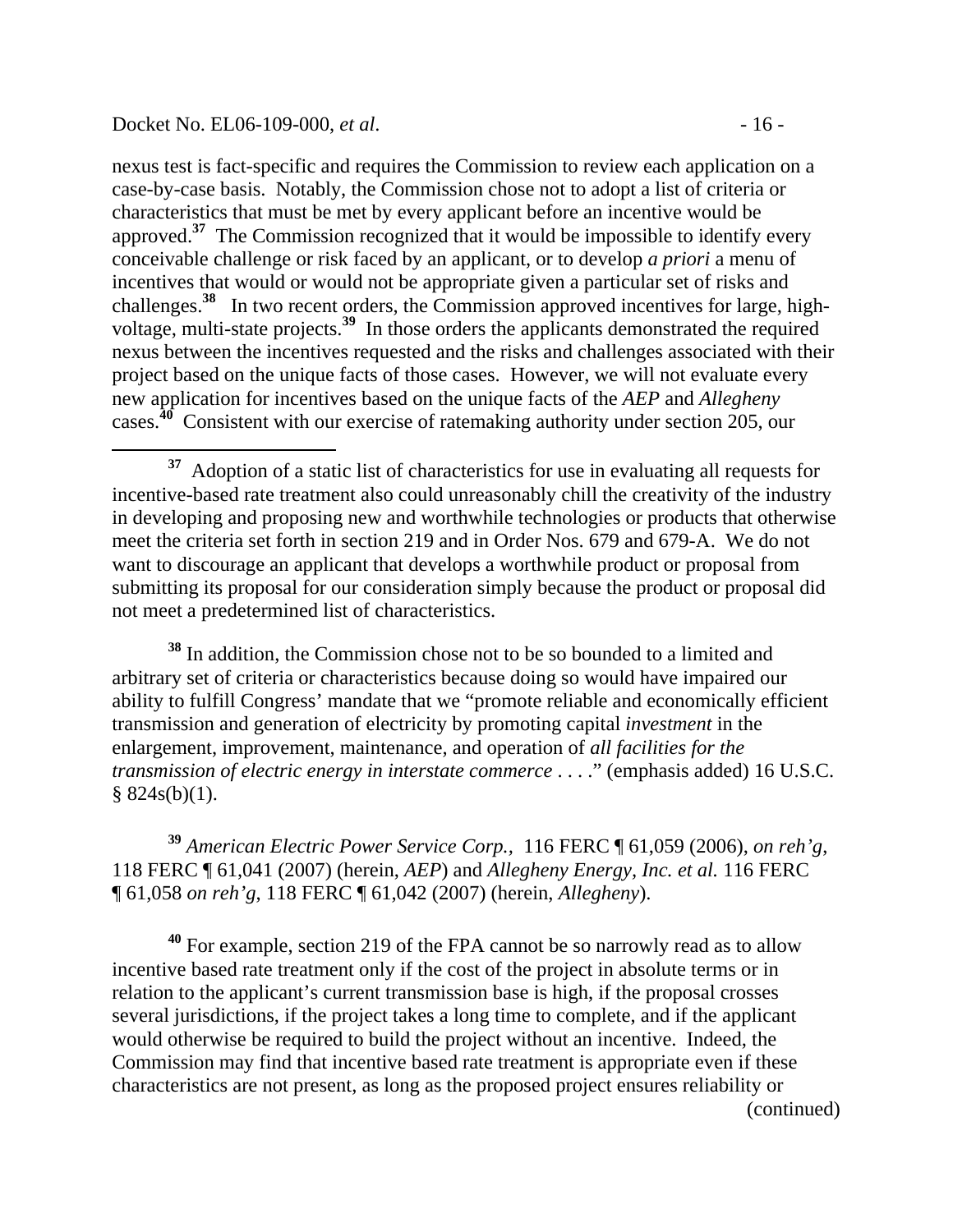#### Docket No. EL06-109-000, *et al.* - 16 -

nexus test is fact-specific and requires the Commission to review each application on a case-by-case basis. Notably, the Commission chose not to adopt a list of criteria or characteristics that must be met by every applicant before an incentive would be approved.**<sup>37</sup>** The Commission recognized that it would be impossible to identify every conceivable challenge or risk faced by an applicant, or to develop *a priori* a menu of incentives that would or would not be appropriate given a particular set of risks and challenges.**<sup>38</sup>** In two recent orders, the Commission approved incentives for large, highvoltage, multi-state projects.**<sup>39</sup>** In those orders the applicants demonstrated the required nexus between the incentives requested and the risks and challenges associated with their project based on the unique facts of those cases. However, we will not evaluate every new application for incentives based on the unique facts of the *AEP* and *Allegheny*  cases.<sup>40</sup> Consistent with our exercise of ratemaking authority under section 205, our

**<sup>38</sup>** In addition, the Commission chose not to be so bounded to a limited and arbitrary set of criteria or characteristics because doing so would have impaired our ability to fulfill Congress' mandate that we "promote reliable and economically efficient transmission and generation of electricity by promoting capital *investment* in the enlargement, improvement, maintenance, and operation of *all facilities for the transmission of electric energy in interstate commerce* . . . ." (emphasis added) 16 U.S.C.  $§ 824s(b)(1).$ 

**<sup>39</sup>** *American Electric Power Service Corp.,* 116 FERC ¶ 61,059 (2006), *on reh'g*, 118 FERC ¶ 61,041 (2007) (herein, *AEP*) and *Allegheny Energy, Inc. et al.* 116 FERC ¶ 61,058 *on reh'g*, 118 FERC ¶ 61,042 (2007) (herein, *Allegheny*).

**<sup>40</sup>** For example, section 219 of the FPA cannot be so narrowly read as to allow incentive based rate treatment only if the cost of the project in absolute terms or in relation to the applicant's current transmission base is high, if the proposal crosses several jurisdictions, if the project takes a long time to complete, and if the applicant would otherwise be required to build the project without an incentive. Indeed, the Commission may find that incentive based rate treatment is appropriate even if these characteristics are not present, as long as the proposed project ensures reliability or (continued)

**<sup>37</sup>** Adoption of a static list of characteristics for use in evaluating all requests for incentive-based rate treatment also could unreasonably chill the creativity of the industry in developing and proposing new and worthwhile technologies or products that otherwise meet the criteria set forth in section 219 and in Order Nos. 679 and 679-A. We do not want to discourage an applicant that develops a worthwhile product or proposal from submitting its proposal for our consideration simply because the product or proposal did not meet a predetermined list of characteristics.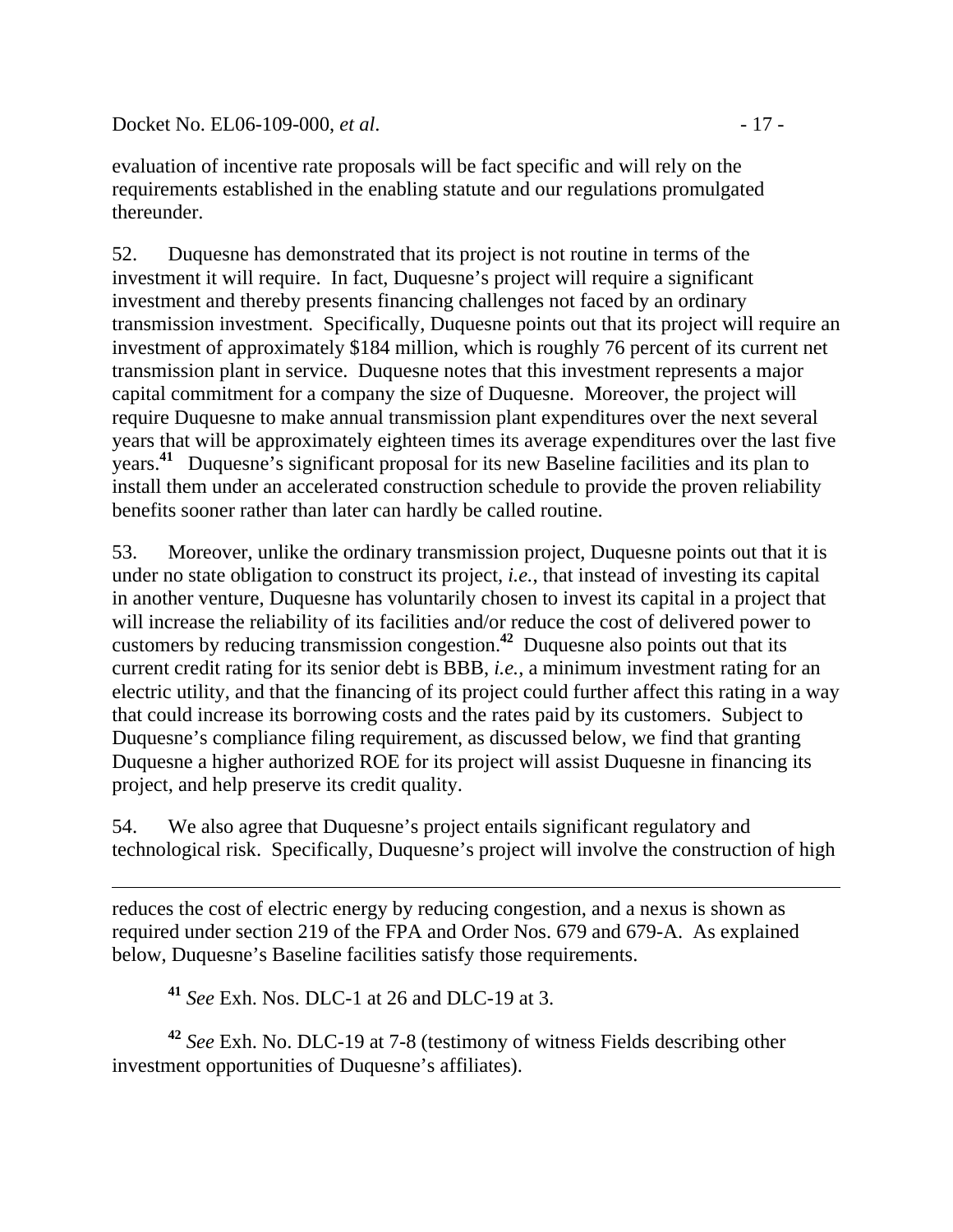Docket No. EL06-109-000, *et al.* - 17 -

evaluation of incentive rate proposals will be fact specific and will rely on the requirements established in the enabling statute and our regulations promulgated thereunder.

52. Duquesne has demonstrated that its project is not routine in terms of the investment it will require. In fact, Duquesne's project will require a significant investment and thereby presents financing challenges not faced by an ordinary transmission investment. Specifically, Duquesne points out that its project will require an investment of approximately \$184 million, which is roughly 76 percent of its current net transmission plant in service. Duquesne notes that this investment represents a major capital commitment for a company the size of Duquesne. Moreover, the project will require Duquesne to make annual transmission plant expenditures over the next several years that will be approximately eighteen times its average expenditures over the last five years.<sup>41</sup> Duquesne's significant proposal for its new Baseline facilities and its plan to install them under an accelerated construction schedule to provide the proven reliability benefits sooner rather than later can hardly be called routine.

53. Moreover, unlike the ordinary transmission project, Duquesne points out that it is under no state obligation to construct its project, *i.e.*, that instead of investing its capital in another venture, Duquesne has voluntarily chosen to invest its capital in a project that will increase the reliability of its facilities and/or reduce the cost of delivered power to customers by reducing transmission congestion.**<sup>42</sup>** Duquesne also points out that its current credit rating for its senior debt is BBB, *i.e.*, a minimum investment rating for an electric utility, and that the financing of its project could further affect this rating in a way that could increase its borrowing costs and the rates paid by its customers. Subject to Duquesne's compliance filing requirement, as discussed below, we find that granting Duquesne a higher authorized ROE for its project will assist Duquesne in financing its project, and help preserve its credit quality.

54. We also agree that Duquesne's project entails significant regulatory and technological risk. Specifically, Duquesne's project will involve the construction of high

reduces the cost of electric energy by reducing congestion, and a nexus is shown as required under section 219 of the FPA and Order Nos. 679 and 679-A. As explained below, Duquesne's Baseline facilities satisfy those requirements.

**<sup>41</sup>** *See* Exh. Nos. DLC-1 at 26 and DLC-19 at 3.

 $\overline{a}$ 

**<sup>42</sup>** *See* Exh. No. DLC-19 at 7-8 (testimony of witness Fields describing other investment opportunities of Duquesne's affiliates).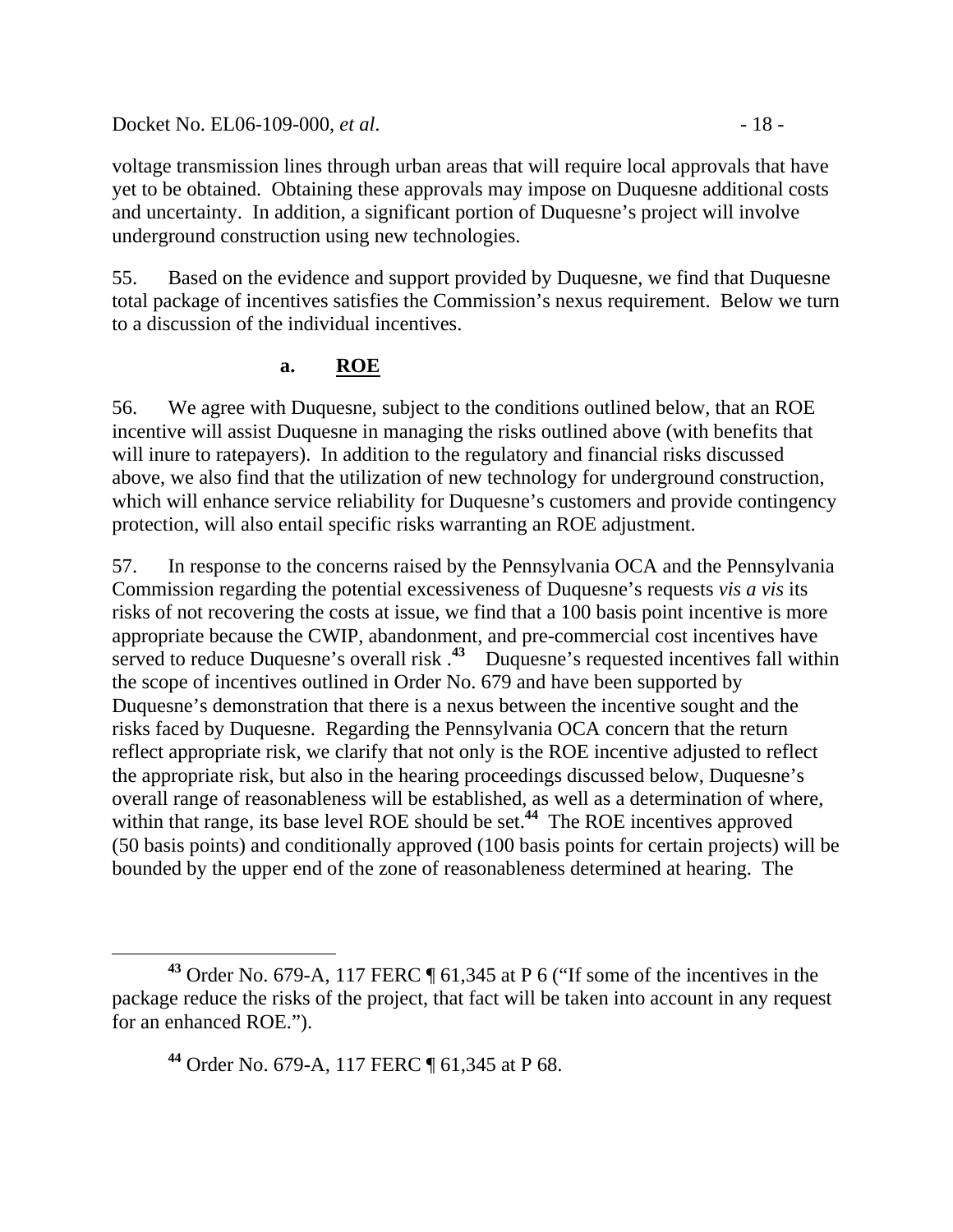#### Docket No. EL06-109-000, *et al.* - 18 -

voltage transmission lines through urban areas that will require local approvals that have yet to be obtained. Obtaining these approvals may impose on Duquesne additional costs and uncertainty. In addition, a significant portion of Duquesne's project will involve underground construction using new technologies.

55. Based on the evidence and support provided by Duquesne, we find that Duquesne total package of incentives satisfies the Commission's nexus requirement. Below we turn to a discussion of the individual incentives.

### **a. ROE**

56. We agree with Duquesne, subject to the conditions outlined below, that an ROE incentive will assist Duquesne in managing the risks outlined above (with benefits that will inure to ratepayers). In addition to the regulatory and financial risks discussed above, we also find that the utilization of new technology for underground construction, which will enhance service reliability for Duquesne's customers and provide contingency protection, will also entail specific risks warranting an ROE adjustment.

57. In response to the concerns raised by the Pennsylvania OCA and the Pennsylvania Commission regarding the potential excessiveness of Duquesne's requests *vis a vis* its risks of not recovering the costs at issue, we find that a 100 basis point incentive is more appropriate because the CWIP, abandonment, and pre-commercial cost incentives have served to reduce Duquesne's overall risk <sup>43</sup> Duquesne's requested incentives fall within the scope of incentives outlined in Order No. 679 and have been supported by Duquesne's demonstration that there is a nexus between the incentive sought and the risks faced by Duquesne. Regarding the Pennsylvania OCA concern that the return reflect appropriate risk, we clarify that not only is the ROE incentive adjusted to reflect the appropriate risk, but also in the hearing proceedings discussed below, Duquesne's overall range of reasonableness will be established, as well as a determination of where, within that range, its base level ROE should be set.<sup>44</sup> The ROE incentives approved (50 basis points) and conditionally approved (100 basis points for certain projects) will be bounded by the upper end of the zone of reasonableness determined at hearing. The

**<sup>43</sup>** Order No. 679-A, 117 FERC ¶ 61,345 at P 6 ("If some of the incentives in the package reduce the risks of the project, that fact will be taken into account in any request for an enhanced ROE.").

**<sup>44</sup>** Order No. 679-A, 117 FERC ¶ 61,345 at P 68.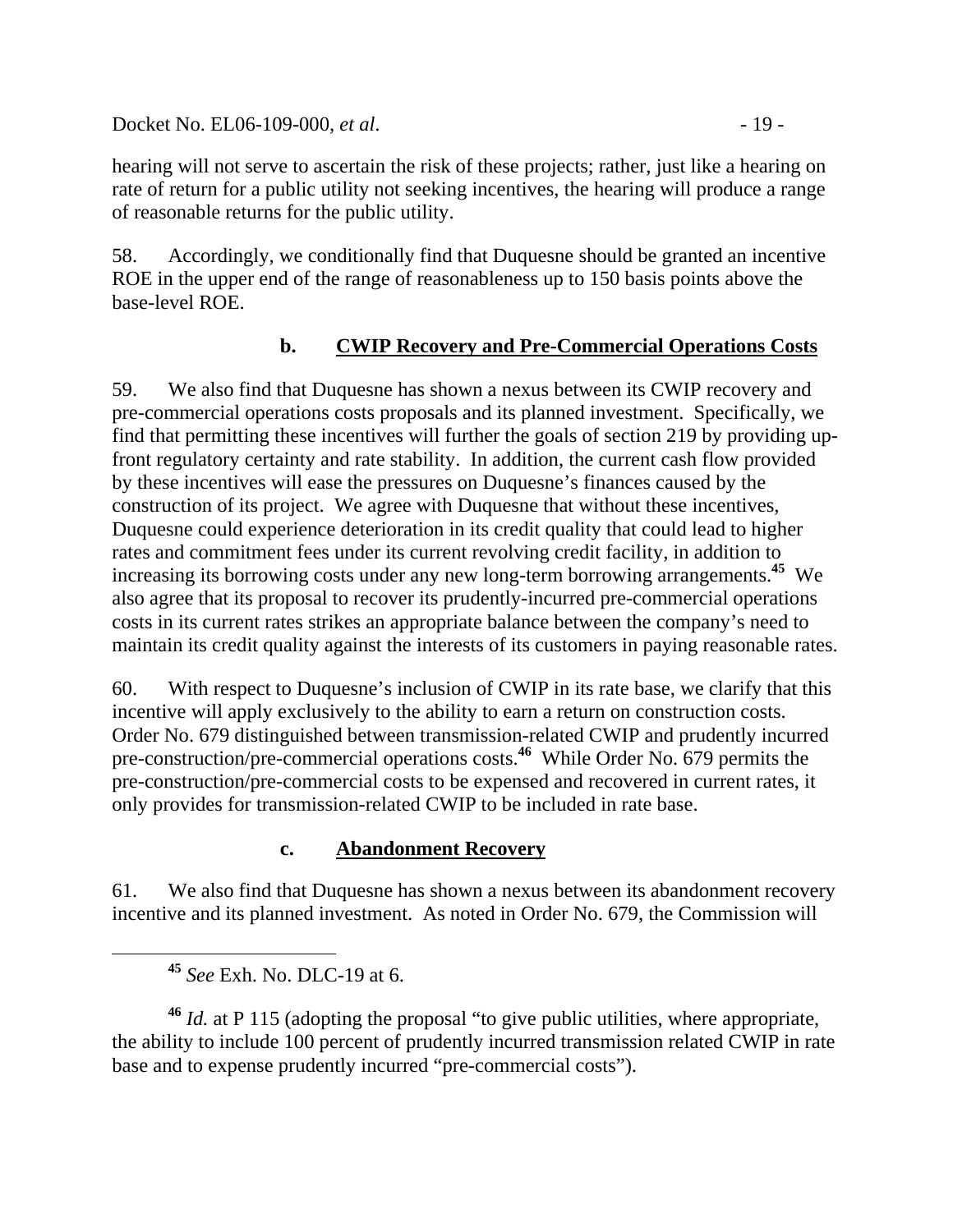Docket No. EL06-109-000, *et al.* - 19 -

hearing will not serve to ascertain the risk of these projects; rather, just like a hearing on rate of return for a public utility not seeking incentives, the hearing will produce a range of reasonable returns for the public utility.

58. Accordingly, we conditionally find that Duquesne should be granted an incentive ROE in the upper end of the range of reasonableness up to 150 basis points above the base-level ROE.

# **b. CWIP Recovery and Pre-Commercial Operations Costs**

59. We also find that Duquesne has shown a nexus between its CWIP recovery and pre-commercial operations costs proposals and its planned investment. Specifically, we find that permitting these incentives will further the goals of section 219 by providing upfront regulatory certainty and rate stability. In addition, the current cash flow provided by these incentives will ease the pressures on Duquesne's finances caused by the construction of its project. We agree with Duquesne that without these incentives, Duquesne could experience deterioration in its credit quality that could lead to higher rates and commitment fees under its current revolving credit facility, in addition to increasing its borrowing costs under any new long-term borrowing arrangements.**<sup>45</sup>** We also agree that its proposal to recover its prudently-incurred pre-commercial operations costs in its current rates strikes an appropriate balance between the company's need to maintain its credit quality against the interests of its customers in paying reasonable rates.

60. With respect to Duquesne's inclusion of CWIP in its rate base, we clarify that this incentive will apply exclusively to the ability to earn a return on construction costs. Order No. 679 distinguished between transmission-related CWIP and prudently incurred pre-construction/pre-commercial operations costs.**<sup>46</sup>** While Order No. 679 permits the pre-construction/pre-commercial costs to be expensed and recovered in current rates, it only provides for transmission-related CWIP to be included in rate base.

### **c. Abandonment Recovery**

61. We also find that Duquesne has shown a nexus between its abandonment recovery incentive and its planned investment. As noted in Order No. 679, the Commission will

**<sup>46</sup>** *Id.* at P 115 (adopting the proposal "to give public utilities, where appropriate, the ability to include 100 percent of prudently incurred transmission related CWIP in rate base and to expense prudently incurred "pre-commercial costs").

**<sup>45</sup>** *See* Exh. No. DLC-19 at 6.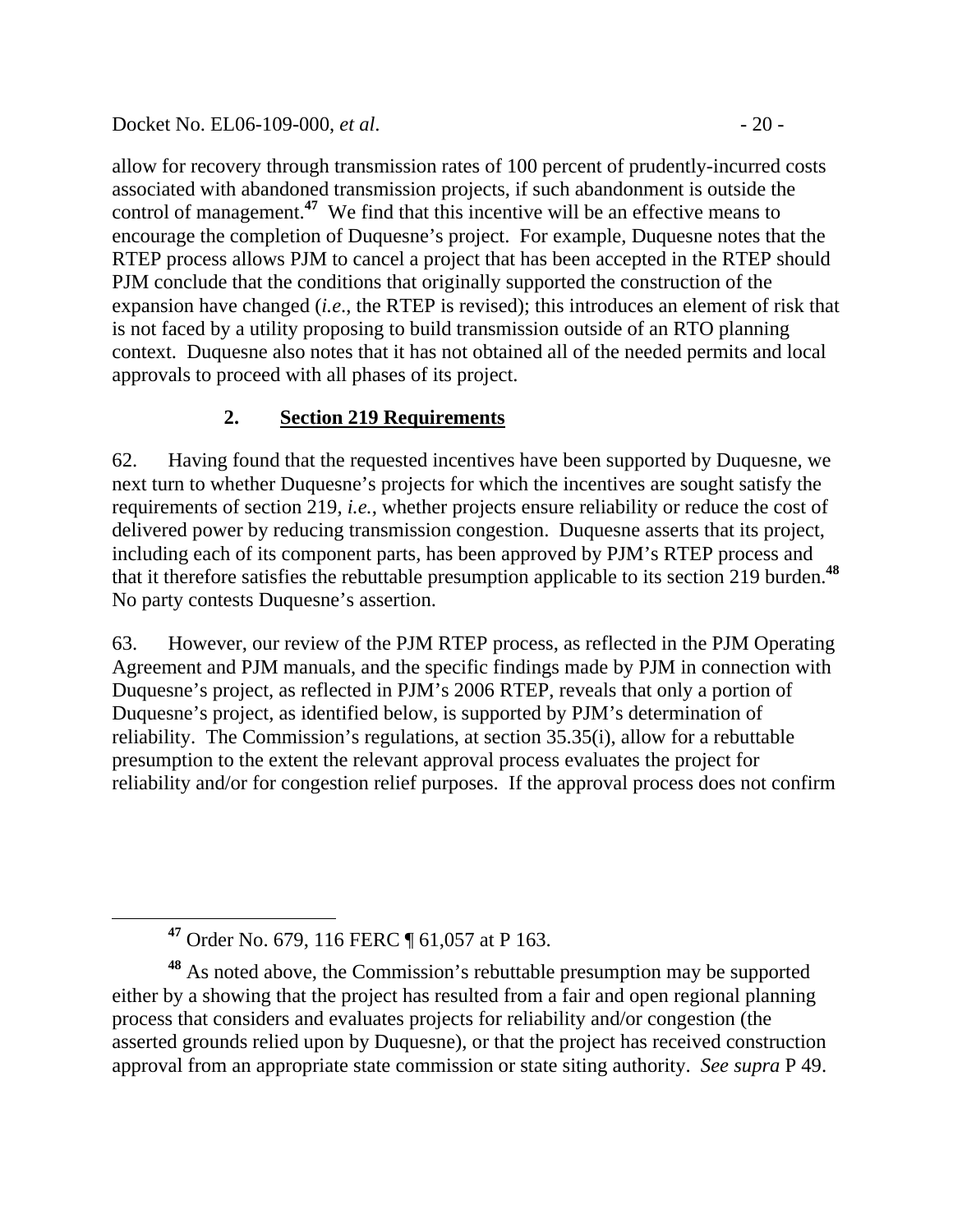### Docket No. EL06-109-000, *et al.* - 20 -

allow for recovery through transmission rates of 100 percent of prudently-incurred costs associated with abandoned transmission projects, if such abandonment is outside the control of management.**<sup>47</sup>** We find that this incentive will be an effective means to encourage the completion of Duquesne's project. For example, Duquesne notes that the RTEP process allows PJM to cancel a project that has been accepted in the RTEP should PJM conclude that the conditions that originally supported the construction of the expansion have changed (*i.e*., the RTEP is revised); this introduces an element of risk that is not faced by a utility proposing to build transmission outside of an RTO planning context. Duquesne also notes that it has not obtained all of the needed permits and local approvals to proceed with all phases of its project.

# **2. Section 219 Requirements**

62. Having found that the requested incentives have been supported by Duquesne, we next turn to whether Duquesne's projects for which the incentives are sought satisfy the requirements of section 219, *i.e.*, whether projects ensure reliability or reduce the cost of delivered power by reducing transmission congestion. Duquesne asserts that its project, including each of its component parts, has been approved by PJM's RTEP process and that it therefore satisfies the rebuttable presumption applicable to its section 219 burden.**<sup>48</sup>** No party contests Duquesne's assertion.

63. However, our review of the PJM RTEP process, as reflected in the PJM Operating Agreement and PJM manuals, and the specific findings made by PJM in connection with Duquesne's project, as reflected in PJM's 2006 RTEP, reveals that only a portion of Duquesne's project, as identified below, is supported by PJM's determination of reliability. The Commission's regulations, at section 35.35(i), allow for a rebuttable presumption to the extent the relevant approval process evaluates the project for reliability and/or for congestion relief purposes. If the approval process does not confirm

**<sup>47</sup>** Order No. 679, 116 FERC ¶ 61,057 at P 163.

**<sup>48</sup>** As noted above, the Commission's rebuttable presumption may be supported either by a showing that the project has resulted from a fair and open regional planning process that considers and evaluates projects for reliability and/or congestion (the asserted grounds relied upon by Duquesne), or that the project has received construction approval from an appropriate state commission or state siting authority. *See supra* P 49.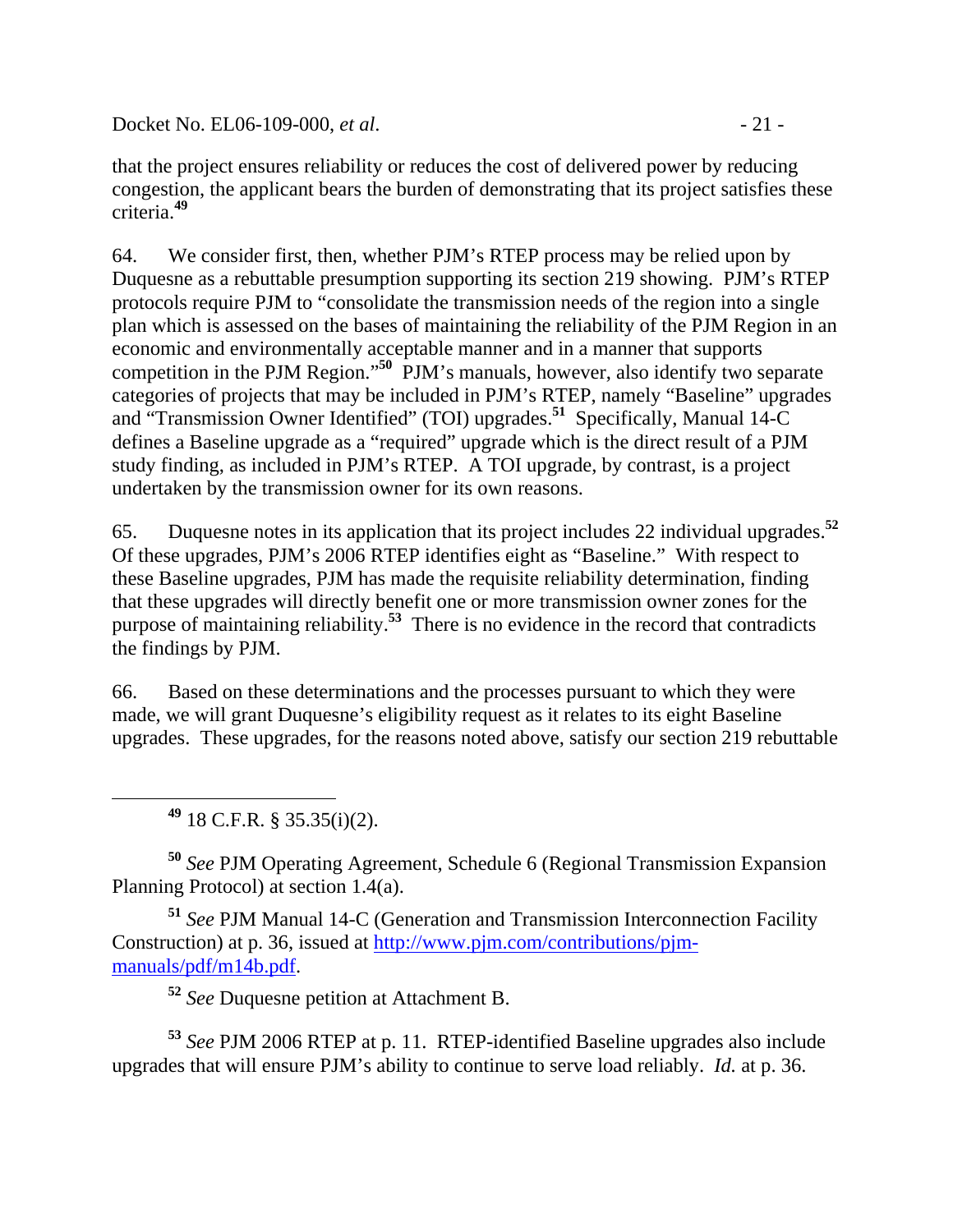Docket No. EL06-109-000, *et al.* - 21 -

that the project ensures reliability or reduces the cost of delivered power by reducing congestion, the applicant bears the burden of demonstrating that its project satisfies these criteria.**<sup>49</sup>**

64. We consider first, then, whether PJM's RTEP process may be relied upon by Duquesne as a rebuttable presumption supporting its section 219 showing. PJM's RTEP protocols require PJM to "consolidate the transmission needs of the region into a single plan which is assessed on the bases of maintaining the reliability of the PJM Region in an economic and environmentally acceptable manner and in a manner that supports competition in the PJM Region."**<sup>50</sup>** PJM's manuals, however, also identify two separate categories of projects that may be included in PJM's RTEP, namely "Baseline" upgrades and "Transmission Owner Identified" (TOI) upgrades.**<sup>51</sup>** Specifically, Manual 14-C defines a Baseline upgrade as a "required" upgrade which is the direct result of a PJM study finding, as included in PJM's RTEP. A TOI upgrade, by contrast, is a project undertaken by the transmission owner for its own reasons.

65. Duquesne notes in its application that its project includes 22 individual upgrades.**<sup>52</sup>** Of these upgrades, PJM's 2006 RTEP identifies eight as "Baseline." With respect to these Baseline upgrades, PJM has made the requisite reliability determination, finding that these upgrades will directly benefit one or more transmission owner zones for the purpose of maintaining reliability.**<sup>53</sup>** There is no evidence in the record that contradicts the findings by PJM.

66. Based on these determinations and the processes pursuant to which they were made, we will grant Duquesne's eligibility request as it relates to its eight Baseline upgrades. These upgrades, for the reasons noted above, satisfy our section 219 rebuttable

**<sup>49</sup>** 18 C.F.R. § 35.35(i)(2).

**<sup>50</sup>** *See* PJM Operating Agreement, Schedule 6 (Regional Transmission Expansion Planning Protocol) at section 1.4(a).

**<sup>51</sup>** *See* PJM Manual 14-C (Generation and Transmission Interconnection Facility Construction) at p. 36, issued at http://www.pjm.com/contributions/pjmmanuals/pdf/m14b.pdf.

**<sup>52</sup>** *See* Duquesne petition at Attachment B.

**<sup>53</sup>** *See* PJM 2006 RTEP at p. 11. RTEP-identified Baseline upgrades also include upgrades that will ensure PJM's ability to continue to serve load reliably. *Id.* at p. 36.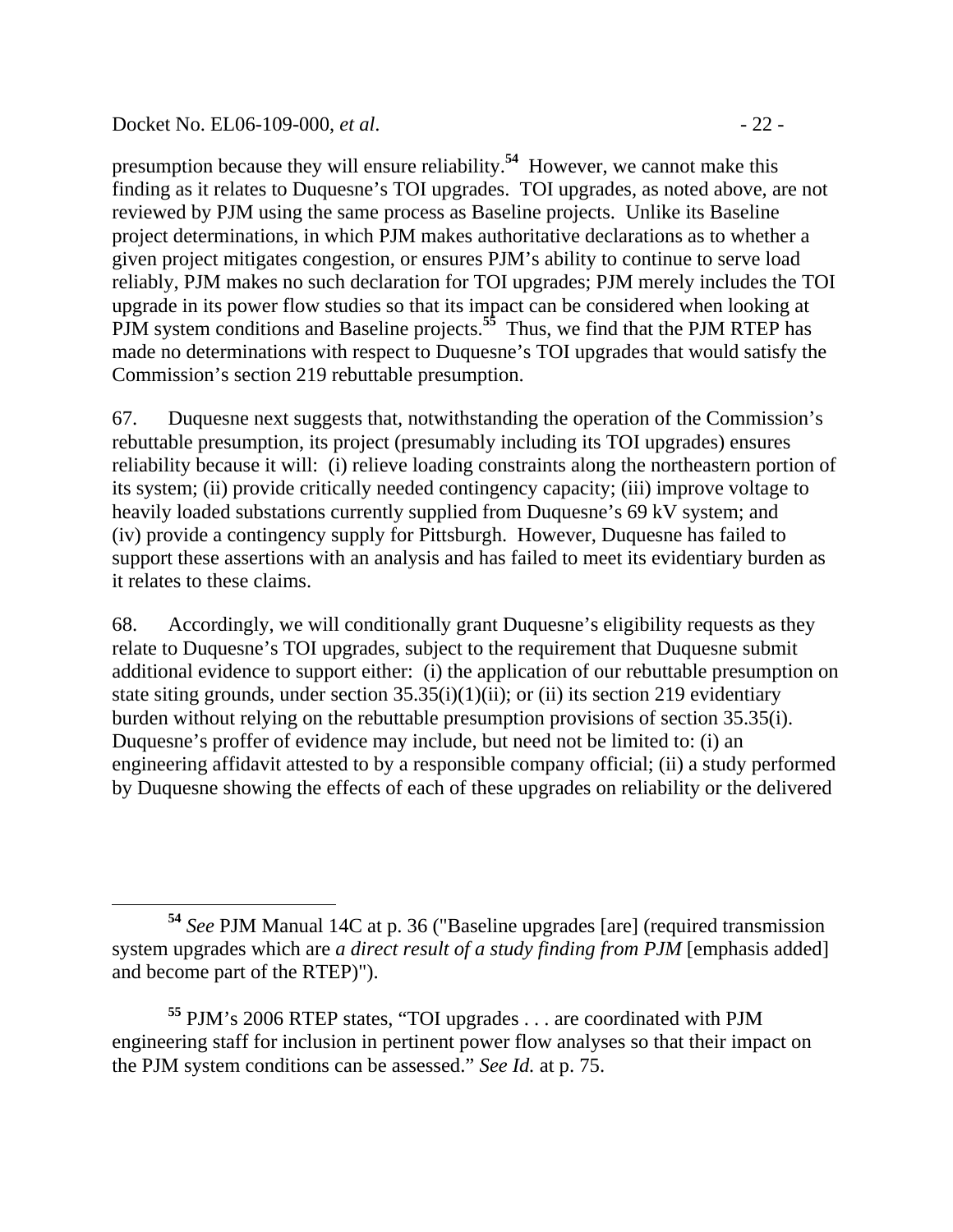#### Docket No. EL06-109-000, *et al.* - 22 -

presumption because they will ensure reliability.**<sup>54</sup>** However, we cannot make this finding as it relates to Duquesne's TOI upgrades. TOI upgrades, as noted above, are not reviewed by PJM using the same process as Baseline projects. Unlike its Baseline project determinations, in which PJM makes authoritative declarations as to whether a given project mitigates congestion, or ensures PJM's ability to continue to serve load reliably, PJM makes no such declaration for TOI upgrades; PJM merely includes the TOI upgrade in its power flow studies so that its impact can be considered when looking at PJM system conditions and Baseline projects.<sup>55</sup> Thus, we find that the PJM RTEP has made no determinations with respect to Duquesne's TOI upgrades that would satisfy the Commission's section 219 rebuttable presumption.

67. Duquesne next suggests that, notwithstanding the operation of the Commission's rebuttable presumption, its project (presumably including its TOI upgrades) ensures reliability because it will: (i) relieve loading constraints along the northeastern portion of its system; (ii) provide critically needed contingency capacity; (iii) improve voltage to heavily loaded substations currently supplied from Duquesne's 69 kV system; and (iv) provide a contingency supply for Pittsburgh. However, Duquesne has failed to support these assertions with an analysis and has failed to meet its evidentiary burden as it relates to these claims.

68. Accordingly, we will conditionally grant Duquesne's eligibility requests as they relate to Duquesne's TOI upgrades, subject to the requirement that Duquesne submit additional evidence to support either: (i) the application of our rebuttable presumption on state siting grounds, under section  $35.35(i)(1)(ii)$ ; or (ii) its section 219 evidentiary burden without relying on the rebuttable presumption provisions of section 35.35(i). Duquesne's proffer of evidence may include, but need not be limited to: (i) an engineering affidavit attested to by a responsible company official; (ii) a study performed by Duquesne showing the effects of each of these upgrades on reliability or the delivered

**<sup>54</sup>** *See* PJM Manual 14C at p. 36 ("Baseline upgrades [are] (required transmission system upgrades which are *a direct result of a study finding from PJM* [emphasis added] and become part of the RTEP)").

**<sup>55</sup>** PJM's 2006 RTEP states, "TOI upgrades . . . are coordinated with PJM engineering staff for inclusion in pertinent power flow analyses so that their impact on the PJM system conditions can be assessed." *See Id.* at p. 75.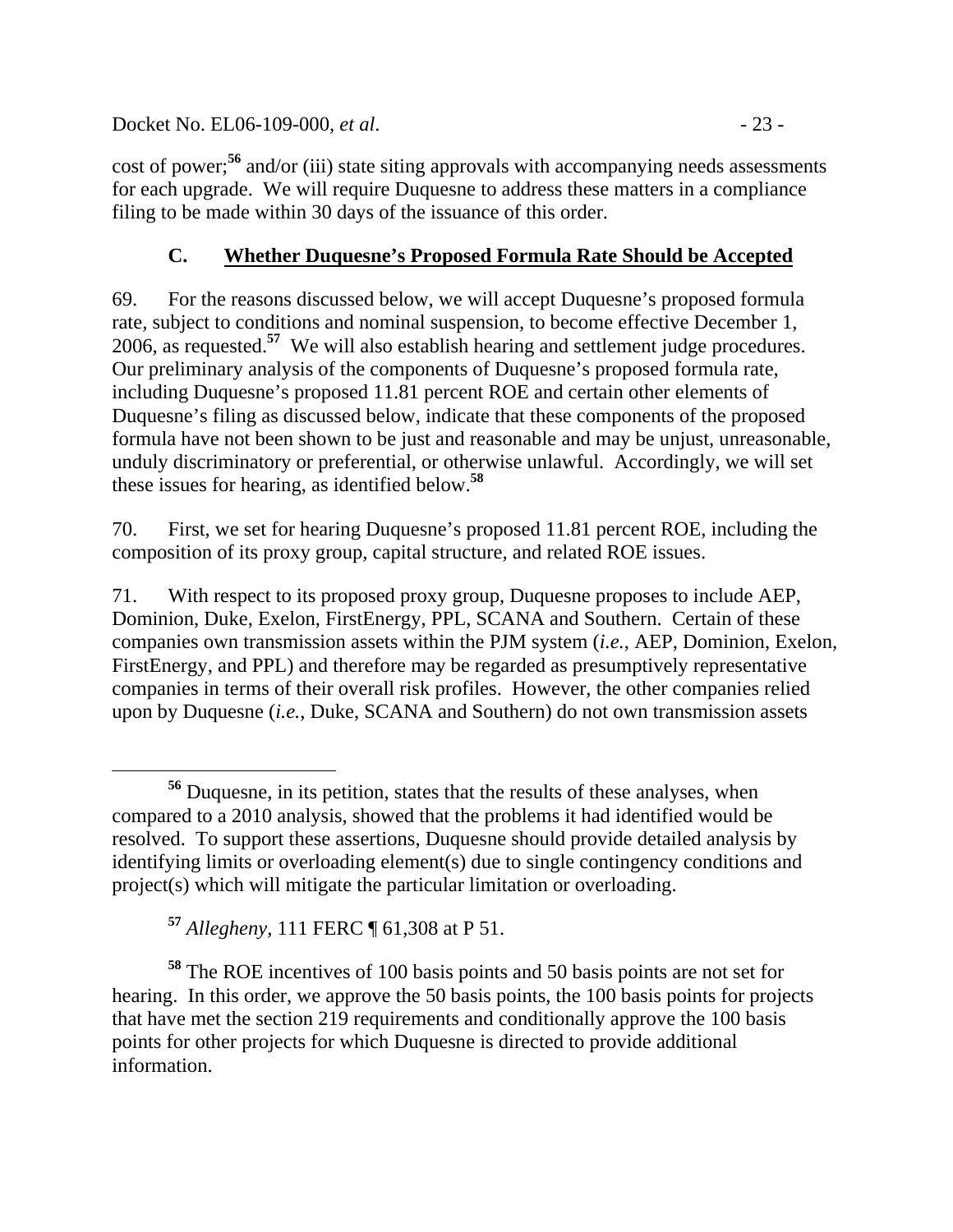Docket No. EL06-109-000, *et al.* - 23 -

cost of power;**<sup>56</sup>** and/or (iii) state siting approvals with accompanying needs assessments for each upgrade. We will require Duquesne to address these matters in a compliance filing to be made within 30 days of the issuance of this order.

# **C. Whether Duquesne's Proposed Formula Rate Should be Accepted**

69. For the reasons discussed below, we will accept Duquesne's proposed formula rate, subject to conditions and nominal suspension, to become effective December 1, 2006, as requested.**<sup>57</sup>** We will also establish hearing and settlement judge procedures. Our preliminary analysis of the components of Duquesne's proposed formula rate, including Duquesne's proposed 11.81 percent ROE and certain other elements of Duquesne's filing as discussed below, indicate that these components of the proposed formula have not been shown to be just and reasonable and may be unjust, unreasonable, unduly discriminatory or preferential, or otherwise unlawful. Accordingly, we will set these issues for hearing, as identified below.**<sup>58</sup>**

70. First, we set for hearing Duquesne's proposed 11.81 percent ROE, including the composition of its proxy group, capital structure, and related ROE issues.

71. With respect to its proposed proxy group, Duquesne proposes to include AEP, Dominion, Duke, Exelon, FirstEnergy, PPL, SCANA and Southern. Certain of these companies own transmission assets within the PJM system (*i.e.*, AEP, Dominion, Exelon, FirstEnergy, and PPL) and therefore may be regarded as presumptively representative companies in terms of their overall risk profiles. However, the other companies relied upon by Duquesne (*i.e.*, Duke, SCANA and Southern) do not own transmission assets

**<sup>58</sup>** The ROE incentives of 100 basis points and 50 basis points are not set for hearing. In this order, we approve the 50 basis points, the 100 basis points for projects that have met the section 219 requirements and conditionally approve the 100 basis points for other projects for which Duquesne is directed to provide additional information.

**<sup>56</sup>** Duquesne, in its petition, states that the results of these analyses, when compared to a 2010 analysis, showed that the problems it had identified would be resolved. To support these assertions, Duquesne should provide detailed analysis by identifying limits or overloading element(s) due to single contingency conditions and project(s) which will mitigate the particular limitation or overloading.

**<sup>57</sup>** *Allegheny,* 111 FERC ¶ 61,308 at P 51.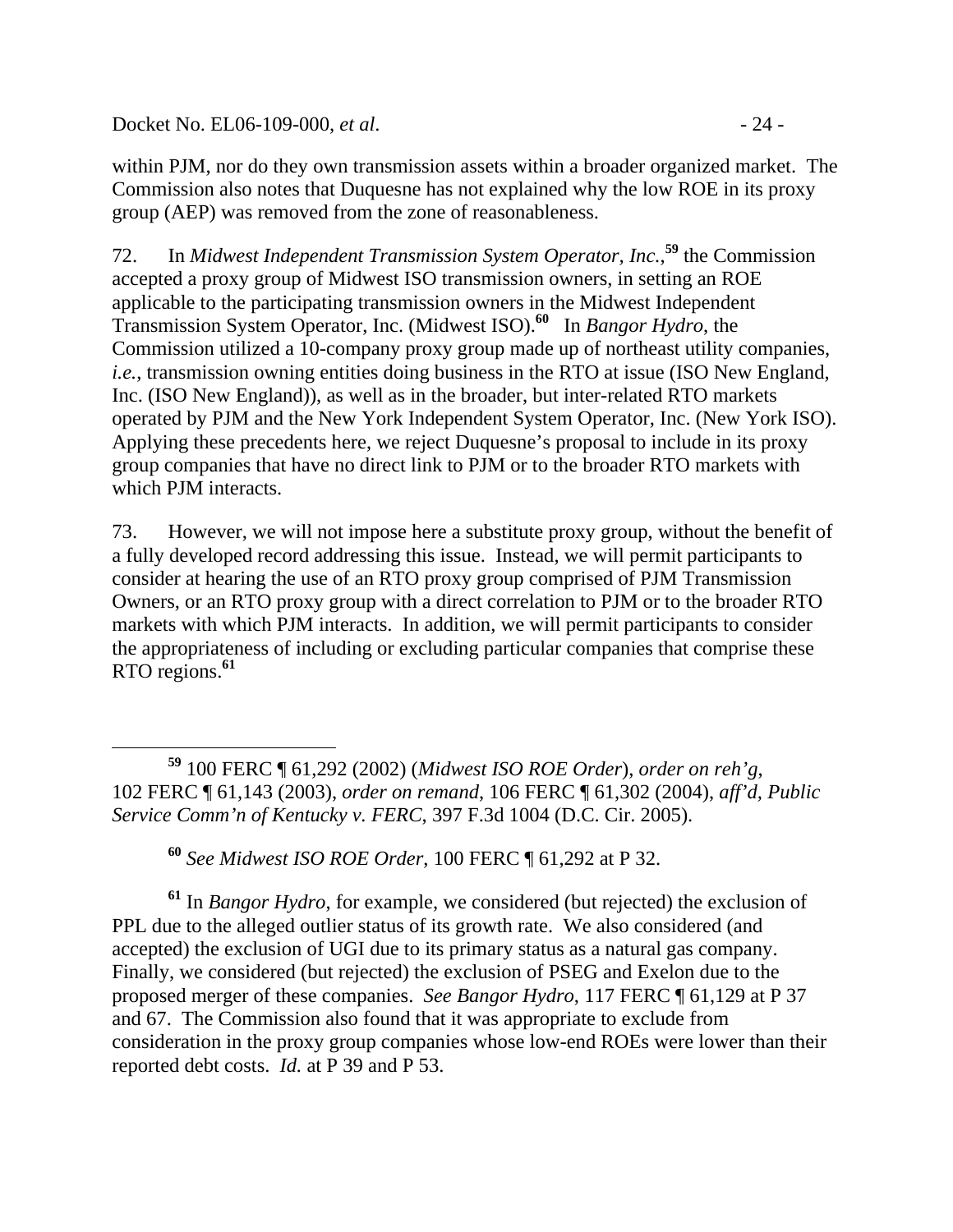Docket No. EL06-109-000, *et al.* - 24 -

within PJM, nor do they own transmission assets within a broader organized market. The Commission also notes that Duquesne has not explained why the low ROE in its proxy group (AEP) was removed from the zone of reasonableness.

72. In *Midwest Independent Transmission System Operator, Inc.*, **<sup>59</sup>** the Commission accepted a proxy group of Midwest ISO transmission owners, in setting an ROE applicable to the participating transmission owners in the Midwest Independent Transmission System Operator, Inc. (Midwest ISO).**<sup>60</sup>** In *Bangor Hydro*, the Commission utilized a 10-company proxy group made up of northeast utility companies, *i.e.*, transmission owning entities doing business in the RTO at issue (ISO New England, Inc. (ISO New England)), as well as in the broader, but inter-related RTO markets operated by PJM and the New York Independent System Operator, Inc. (New York ISO). Applying these precedents here, we reject Duquesne's proposal to include in its proxy group companies that have no direct link to PJM or to the broader RTO markets with which PJM interacts.

73. However, we will not impose here a substitute proxy group, without the benefit of a fully developed record addressing this issue. Instead, we will permit participants to consider at hearing the use of an RTO proxy group comprised of PJM Transmission Owners, or an RTO proxy group with a direct correlation to PJM or to the broader RTO markets with which PJM interacts. In addition, we will permit participants to consider the appropriateness of including or excluding particular companies that comprise these RTO regions.**<sup>61</sup>**

**<sup>60</sup>** *See Midwest ISO ROE Order*, 100 FERC ¶ 61,292 at P 32.

**<sup>61</sup>** In *Bangor Hydro*, for example, we considered (but rejected) the exclusion of PPL due to the alleged outlier status of its growth rate. We also considered (and accepted) the exclusion of UGI due to its primary status as a natural gas company. Finally, we considered (but rejected) the exclusion of PSEG and Exelon due to the proposed merger of these companies. *See Bangor Hydro*, 117 FERC ¶ 61,129 at P 37 and 67. The Commission also found that it was appropriate to exclude from consideration in the proxy group companies whose low-end ROEs were lower than their reported debt costs. *Id.* at P 39 and P 53.

**<sup>59</sup>** 100 FERC ¶ 61,292 (2002) (*Midwest ISO ROE Order*), *order on reh'g*, 102 FERC ¶ 61,143 (2003), *order on remand*, 106 FERC ¶ 61,302 (2004), *aff'd, Public Service Comm'n of Kentucky v. FERC*, 397 F.3d 1004 (D.C. Cir. 2005).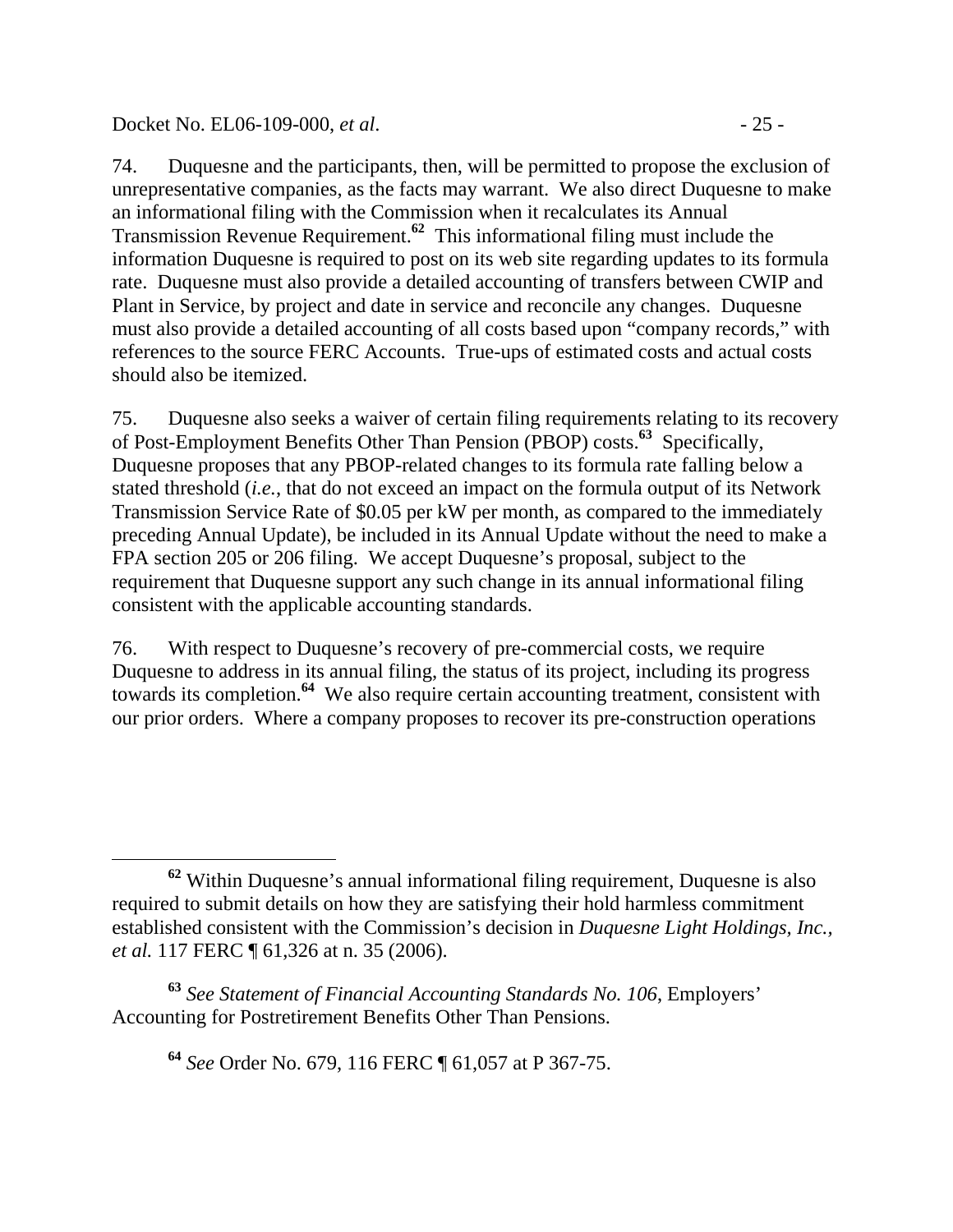### Docket No. EL06-109-000, *et al.* - 25 -

74. Duquesne and the participants, then, will be permitted to propose the exclusion of unrepresentative companies, as the facts may warrant. We also direct Duquesne to make an informational filing with the Commission when it recalculates its Annual Transmission Revenue Requirement.**<sup>62</sup>** This informational filing must include the information Duquesne is required to post on its web site regarding updates to its formula rate. Duquesne must also provide a detailed accounting of transfers between CWIP and Plant in Service, by project and date in service and reconcile any changes. Duquesne must also provide a detailed accounting of all costs based upon "company records," with references to the source FERC Accounts. True-ups of estimated costs and actual costs should also be itemized.

75. Duquesne also seeks a waiver of certain filing requirements relating to its recovery of Post-Employment Benefits Other Than Pension (PBOP) costs.**<sup>63</sup>** Specifically, Duquesne proposes that any PBOP-related changes to its formula rate falling below a stated threshold (*i.e.*, that do not exceed an impact on the formula output of its Network Transmission Service Rate of \$0.05 per kW per month, as compared to the immediately preceding Annual Update), be included in its Annual Update without the need to make a FPA section 205 or 206 filing. We accept Duquesne's proposal, subject to the requirement that Duquesne support any such change in its annual informational filing consistent with the applicable accounting standards.

76. With respect to Duquesne's recovery of pre-commercial costs, we require Duquesne to address in its annual filing, the status of its project, including its progress towards its completion.**<sup>64</sup>** We also require certain accounting treatment, consistent with our prior orders. Where a company proposes to recover its pre-construction operations

**<sup>64</sup>** *See* Order No. 679, 116 FERC ¶ 61,057 at P 367-75.

**<sup>62</sup>** Within Duquesne's annual informational filing requirement, Duquesne is also required to submit details on how they are satisfying their hold harmless commitment established consistent with the Commission's decision in *Duquesne Light Holdings, Inc., et al.* 117 FERC  $\llbracket 61,326$  at n. 35 (2006).

**<sup>63</sup>** *See Statement of Financial Accounting Standards No. 106*, Employers' Accounting for Postretirement Benefits Other Than Pensions.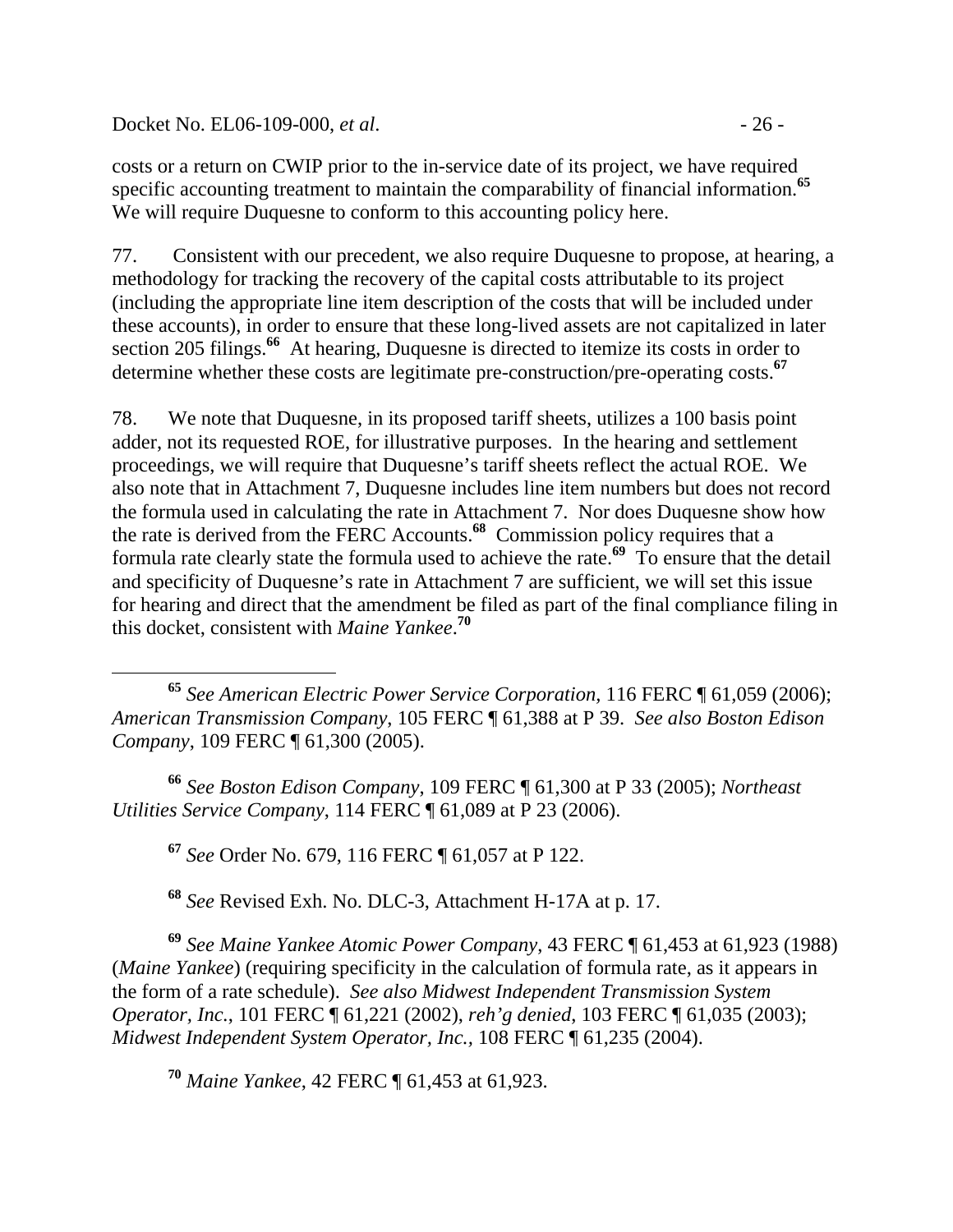Docket No. EL06-109-000, *et al.* - 26 -

costs or a return on CWIP prior to the in-service date of its project, we have required specific accounting treatment to maintain the comparability of financial information.**<sup>65</sup>** We will require Duquesne to conform to this accounting policy here.

77. Consistent with our precedent, we also require Duquesne to propose, at hearing, a methodology for tracking the recovery of the capital costs attributable to its project (including the appropriate line item description of the costs that will be included under these accounts), in order to ensure that these long-lived assets are not capitalized in later section 205 filings.<sup>66</sup> At hearing, Duquesne is directed to itemize its costs in order to determine whether these costs are legitimate pre-construction/pre-operating costs.**<sup>67</sup>**

78. We note that Duquesne, in its proposed tariff sheets, utilizes a 100 basis point adder, not its requested ROE, for illustrative purposes. In the hearing and settlement proceedings, we will require that Duquesne's tariff sheets reflect the actual ROE. We also note that in Attachment 7, Duquesne includes line item numbers but does not record the formula used in calculating the rate in Attachment 7. Nor does Duquesne show how the rate is derived from the FERC Accounts.**<sup>68</sup>** Commission policy requires that a formula rate clearly state the formula used to achieve the rate.**<sup>69</sup>** To ensure that the detail and specificity of Duquesne's rate in Attachment 7 are sufficient, we will set this issue for hearing and direct that the amendment be filed as part of the final compliance filing in this docket, consistent with *Maine Yankee*. **70**

 **<sup>65</sup>** *See American Electric Power Service Corporation,* 116 FERC ¶ 61,059 (2006); *American Transmission Company*, 105 FERC ¶ 61,388 at P 39. *See also Boston Edison Company*, 109 FERC ¶ 61,300 (2005).

**<sup>66</sup>** *See Boston Edison Company*, 109 FERC ¶ 61,300 at P 33 (2005); *Northeast Utilities Service Company*, 114 FERC ¶ 61,089 at P 23 (2006).

**<sup>67</sup>** *See* Order No. 679, 116 FERC ¶ 61,057 at P 122.

**<sup>68</sup>** *See* Revised Exh. No. DLC-3, Attachment H-17A at p. 17.

**<sup>69</sup>** *See Maine Yankee Atomic Power Company*, 43 FERC ¶ 61,453 at 61,923 (1988) (*Maine Yankee*) (requiring specificity in the calculation of formula rate, as it appears in the form of a rate schedule). *See also Midwest Independent Transmission System Operator, Inc.*, 101 FERC ¶ 61,221 (2002), *reh'g denied*, 103 FERC ¶ 61,035 (2003); *Midwest Independent System Operator, Inc.,* 108 FERC ¶ 61,235 (2004).

**<sup>70</sup>** *Maine Yankee*, 42 FERC ¶ 61,453 at 61,923.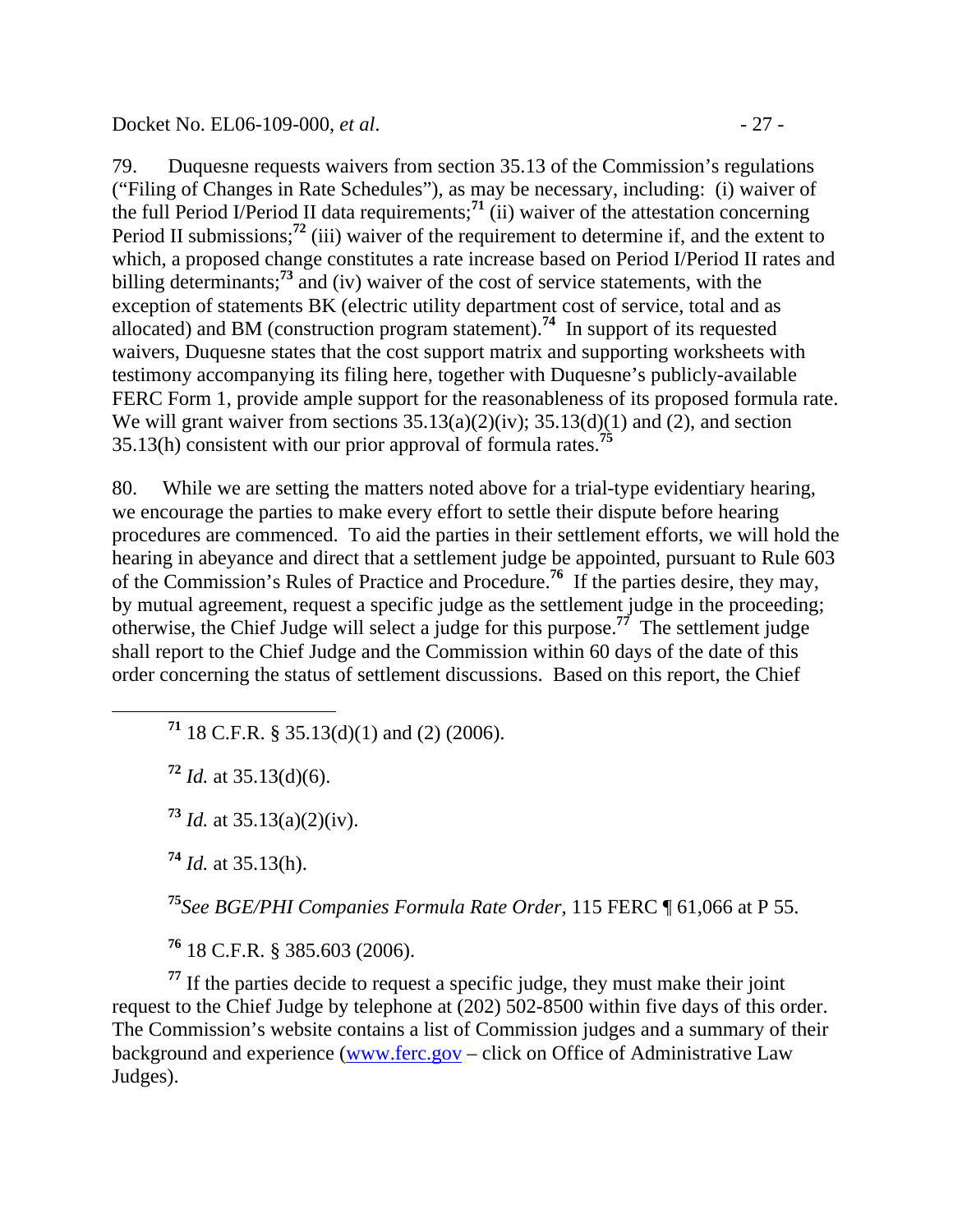79. Duquesne requests waivers from section 35.13 of the Commission's regulations ("Filing of Changes in Rate Schedules"), as may be necessary, including: (i) waiver of the full Period I/Period II data requirements;<sup>71</sup> (ii) waiver of the attestation concerning Period II submissions;<sup>72</sup> (iii) waiver of the requirement to determine if, and the extent to which, a proposed change constitutes a rate increase based on Period I/Period II rates and billing determinants;**<sup>73</sup>** and (iv) waiver of the cost of service statements, with the exception of statements BK (electric utility department cost of service, total and as allocated) and BM (construction program statement).**<sup>74</sup>** In support of its requested waivers, Duquesne states that the cost support matrix and supporting worksheets with testimony accompanying its filing here, together with Duquesne's publicly-available FERC Form 1, provide ample support for the reasonableness of its proposed formula rate. We will grant waiver from sections  $35.13(a)(2)(iv)$ ;  $35.13(d)(1)$  and (2), and section 35.13(h) consistent with our prior approval of formula rates.**<sup>75</sup>**

80. While we are setting the matters noted above for a trial-type evidentiary hearing, we encourage the parties to make every effort to settle their dispute before hearing procedures are commenced. To aid the parties in their settlement efforts, we will hold the hearing in abeyance and direct that a settlement judge be appointed, pursuant to Rule 603 of the Commission's Rules of Practice and Procedure.**<sup>76</sup>** If the parties desire, they may, by mutual agreement, request a specific judge as the settlement judge in the proceeding; otherwise, the Chief Judge will select a judge for this purpose.**<sup>77</sup>** The settlement judge shall report to the Chief Judge and the Commission within 60 days of the date of this order concerning the status of settlement discussions. Based on this report, the Chief

**<sup>71</sup>** 18 C.F.R. § 35.13(d)(1) and (2) (2006).

**<sup>72</sup>** *Id.* at 35.13(d)(6).

**<sup>73</sup>** *Id.* at 35.13(a)(2)(iv).

**<sup>74</sup>** *Id.* at 35.13(h).

**<sup>75</sup>***See BGE/PHI Companies Formula Rate Order,* 115 FERC ¶ 61,066 at P 55.

**<sup>76</sup>** 18 C.F.R. § 385.603 (2006).

**<sup>77</sup>** If the parties decide to request a specific judge, they must make their joint request to the Chief Judge by telephone at (202) 502-8500 within five days of this order. The Commission's website contains a list of Commission judges and a summary of their background and experience (www.ferc.gov – click on Office of Administrative Law Judges).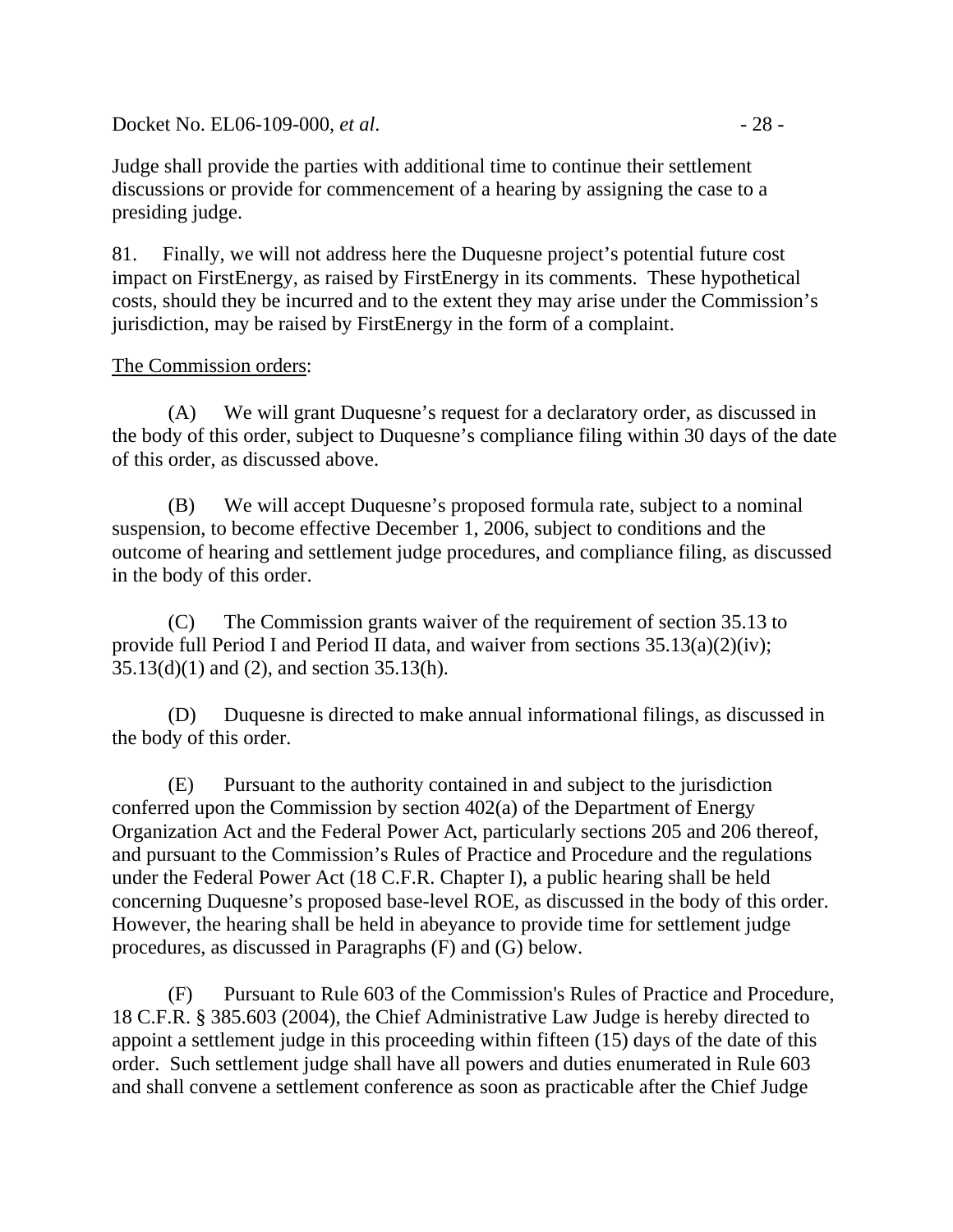Docket No. EL06-109-000, *et al.* - 28 -

Judge shall provide the parties with additional time to continue their settlement discussions or provide for commencement of a hearing by assigning the case to a presiding judge.

81. Finally, we will not address here the Duquesne project's potential future cost impact on FirstEnergy, as raised by FirstEnergy in its comments. These hypothetical costs, should they be incurred and to the extent they may arise under the Commission's jurisdiction, may be raised by FirstEnergy in the form of a complaint.

### The Commission orders:

(A) We will grant Duquesne's request for a declaratory order, as discussed in the body of this order, subject to Duquesne's compliance filing within 30 days of the date of this order, as discussed above.

(B) We will accept Duquesne's proposed formula rate, subject to a nominal suspension, to become effective December 1, 2006, subject to conditions and the outcome of hearing and settlement judge procedures, and compliance filing, as discussed in the body of this order.

(C) The Commission grants waiver of the requirement of section 35.13 to provide full Period I and Period II data, and waiver from sections 35.13(a)(2)(iv); 35.13(d)(1) and (2), and section 35.13(h).

(D) Duquesne is directed to make annual informational filings, as discussed in the body of this order.

(E) Pursuant to the authority contained in and subject to the jurisdiction conferred upon the Commission by section 402(a) of the Department of Energy Organization Act and the Federal Power Act, particularly sections 205 and 206 thereof, and pursuant to the Commission's Rules of Practice and Procedure and the regulations under the Federal Power Act (18 C.F.R. Chapter I), a public hearing shall be held concerning Duquesne's proposed base-level ROE, as discussed in the body of this order. However, the hearing shall be held in abeyance to provide time for settlement judge procedures, as discussed in Paragraphs (F) and (G) below.

 (F) Pursuant to Rule 603 of the Commission's Rules of Practice and Procedure, 18 C.F.R. § 385.603 (2004), the Chief Administrative Law Judge is hereby directed to appoint a settlement judge in this proceeding within fifteen (15) days of the date of this order. Such settlement judge shall have all powers and duties enumerated in Rule 603 and shall convene a settlement conference as soon as practicable after the Chief Judge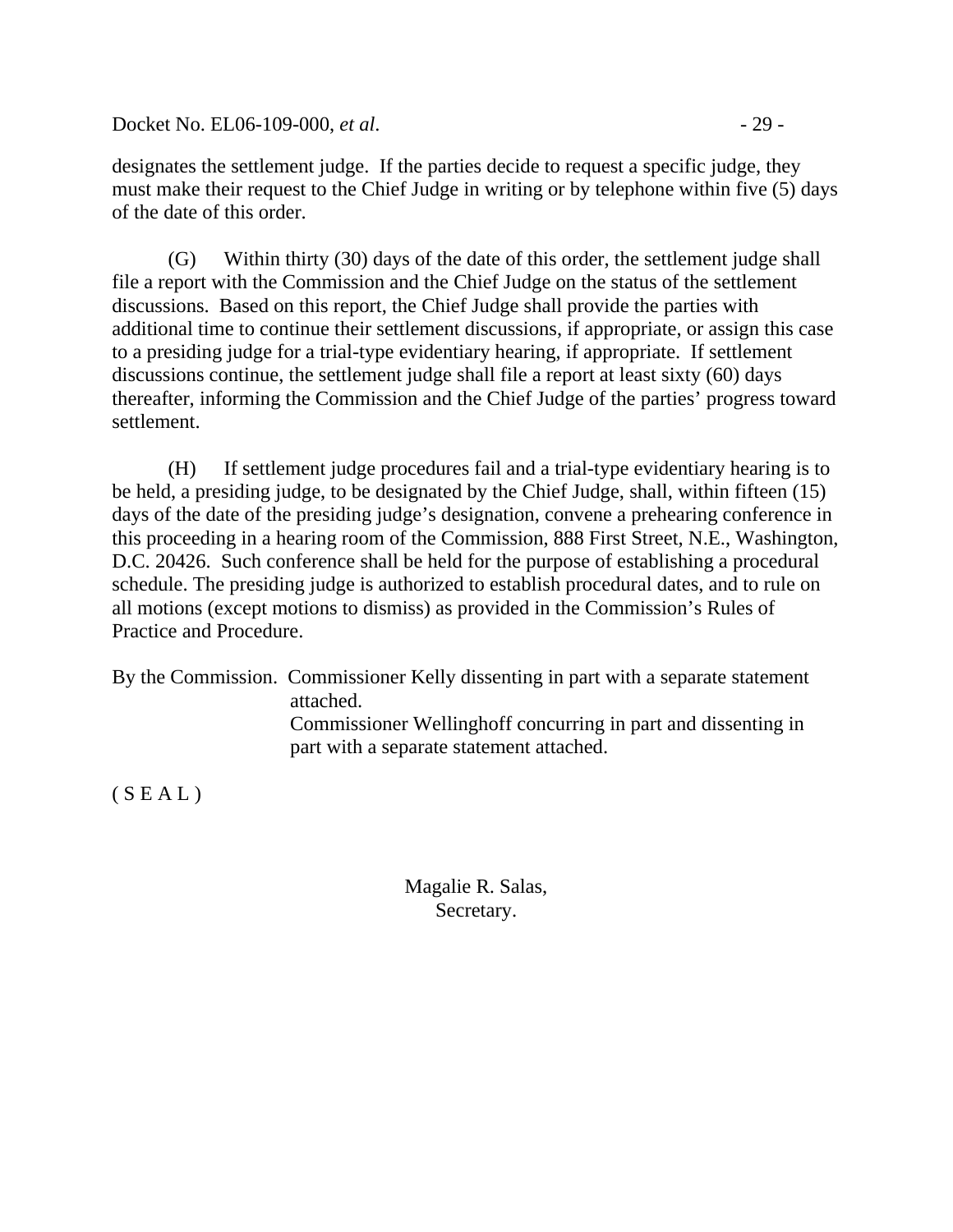Docket No. EL06-109-000, *et al.* - 29 -

designates the settlement judge. If the parties decide to request a specific judge, they must make their request to the Chief Judge in writing or by telephone within five (5) days of the date of this order.

 (G) Within thirty (30) days of the date of this order, the settlement judge shall file a report with the Commission and the Chief Judge on the status of the settlement discussions. Based on this report, the Chief Judge shall provide the parties with additional time to continue their settlement discussions, if appropriate, or assign this case to a presiding judge for a trial-type evidentiary hearing, if appropriate. If settlement discussions continue, the settlement judge shall file a report at least sixty (60) days thereafter, informing the Commission and the Chief Judge of the parties' progress toward settlement.

 (H) If settlement judge procedures fail and a trial-type evidentiary hearing is to be held, a presiding judge, to be designated by the Chief Judge, shall, within fifteen (15) days of the date of the presiding judge's designation, convene a prehearing conference in this proceeding in a hearing room of the Commission, 888 First Street, N.E., Washington, D.C. 20426. Such conference shall be held for the purpose of establishing a procedural schedule. The presiding judge is authorized to establish procedural dates, and to rule on all motions (except motions to dismiss) as provided in the Commission's Rules of Practice and Procedure.

By the Commission. Commissioner Kelly dissenting in part with a separate statement attached. Commissioner Wellinghoff concurring in part and dissenting in part with a separate statement attached.

 $(S E A L)$ 

Magalie R. Salas, Secretary.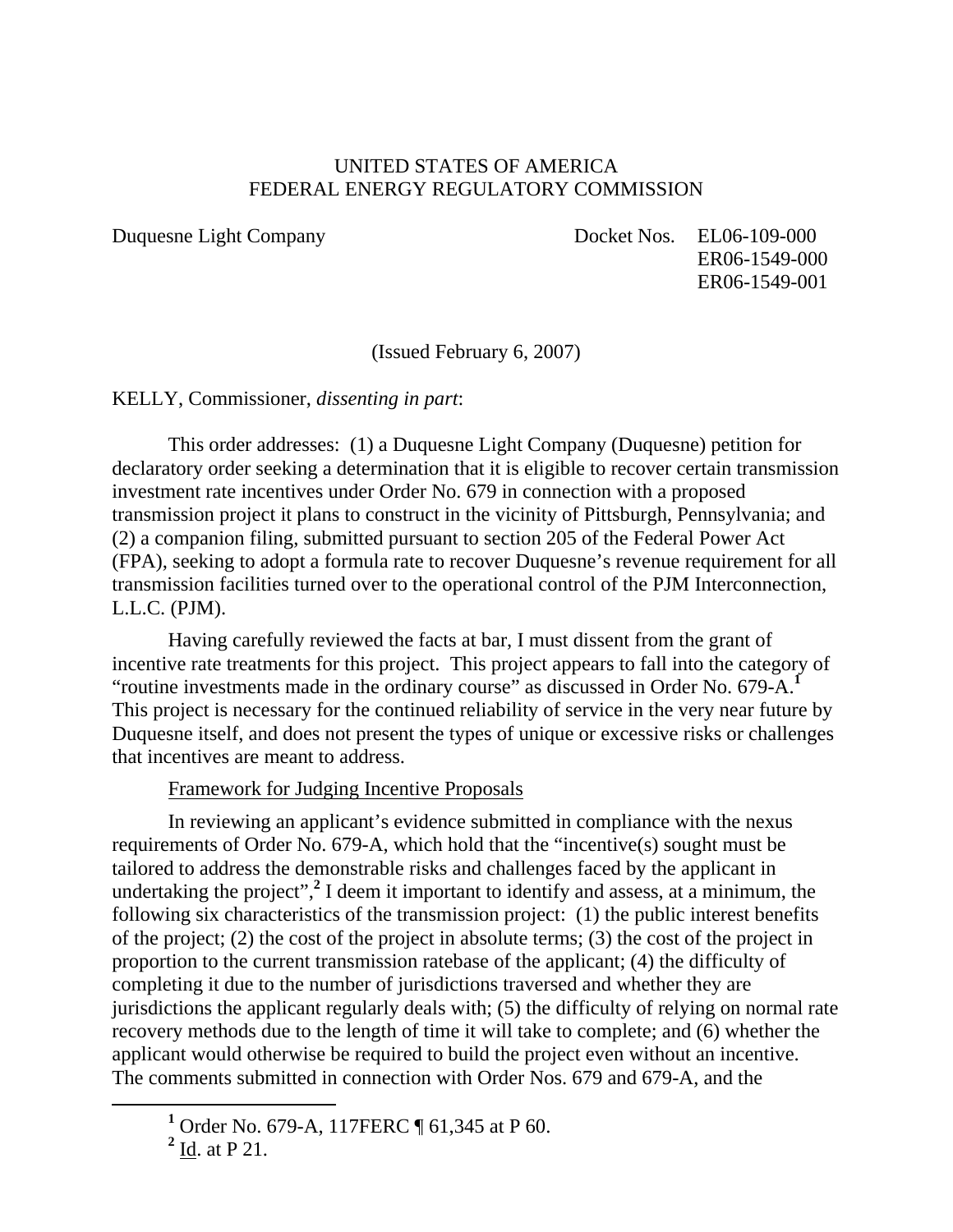### UNITED STATES OF AMERICA FEDERAL ENERGY REGULATORY COMMISSION

Duquesne Light Company Docket Nos. EL06-109-000 ER06-1549-000 ER06-1549-001

(Issued February 6, 2007)

KELLY, Commissioner, *dissenting in part*:

This order addresses: (1) a Duquesne Light Company (Duquesne) petition for declaratory order seeking a determination that it is eligible to recover certain transmission investment rate incentives under Order No. 679 in connection with a proposed transmission project it plans to construct in the vicinity of Pittsburgh, Pennsylvania; and (2) a companion filing, submitted pursuant to section 205 of the Federal Power Act (FPA), seeking to adopt a formula rate to recover Duquesne's revenue requirement for all transmission facilities turned over to the operational control of the PJM Interconnection, L.L.C. (PJM).

Having carefully reviewed the facts at bar, I must dissent from the grant of incentive rate treatments for this project. This project appears to fall into the category of "routine investments made in the ordinary course" as discussed in Order No. 679-A.**<sup>1</sup>** This project is necessary for the continued reliability of service in the very near future by Duquesne itself, and does not present the types of unique or excessive risks or challenges that incentives are meant to address.

### Framework for Judging Incentive Proposals

In reviewing an applicant's evidence submitted in compliance with the nexus requirements of Order No. 679-A, which hold that the "incentive(s) sought must be tailored to address the demonstrable risks and challenges faced by the applicant in undertaking the project",<sup>2</sup> I deem it important to identify and assess, at a minimum, the following six characteristics of the transmission project: (1) the public interest benefits of the project; (2) the cost of the project in absolute terms; (3) the cost of the project in proportion to the current transmission ratebase of the applicant; (4) the difficulty of completing it due to the number of jurisdictions traversed and whether they are jurisdictions the applicant regularly deals with; (5) the difficulty of relying on normal rate recovery methods due to the length of time it will take to complete; and (6) whether the applicant would otherwise be required to build the project even without an incentive. The comments submitted in connection with Order Nos. 679 and 679-A, and the

<sup>&</sup>lt;u>1</u> <sup>1</sup> Order No. 679-A, 117FERC ¶ 61,345 at P 60.

 $2 \underline{Id}$ . at P 21.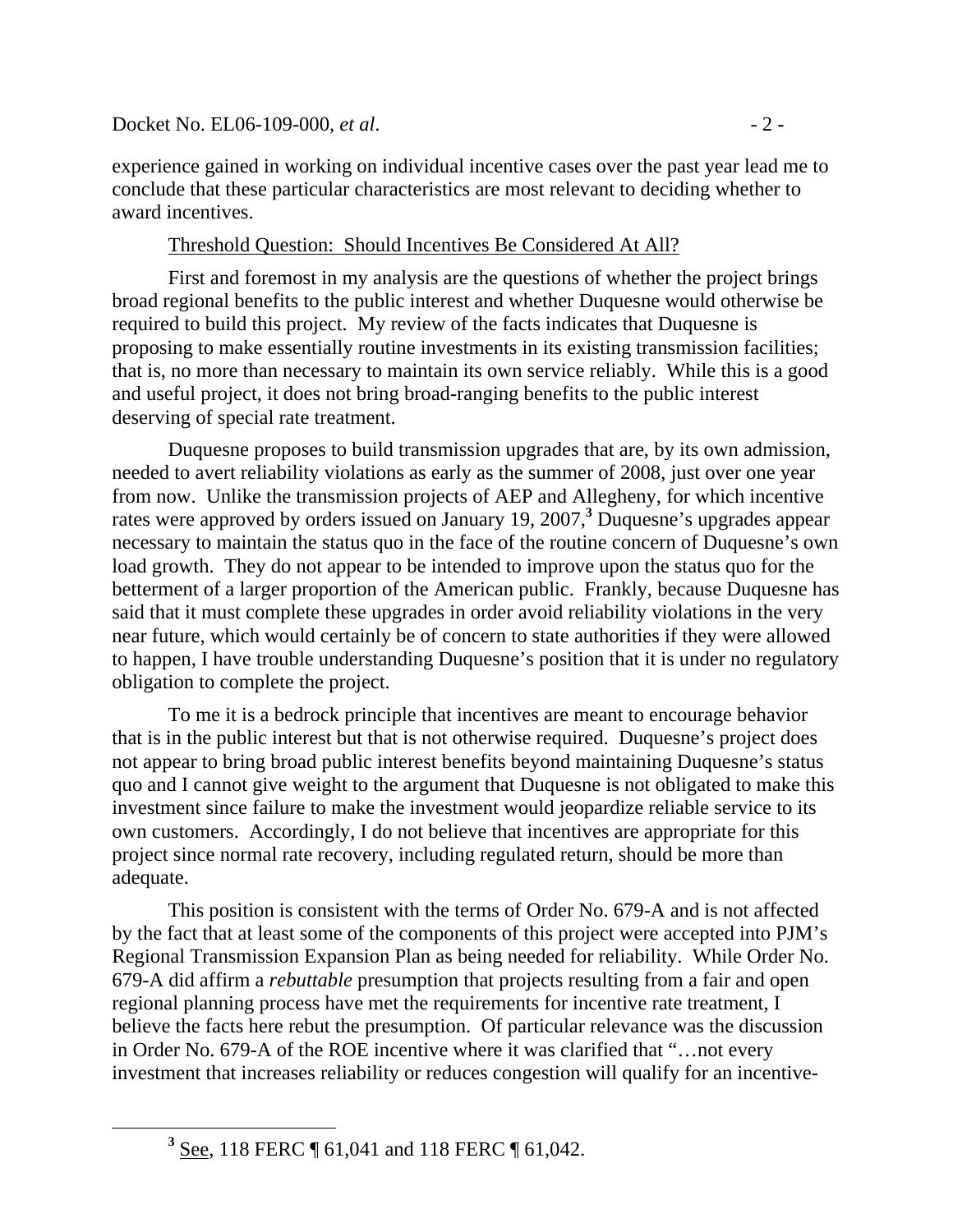experience gained in working on individual incentive cases over the past year lead me to conclude that these particular characteristics are most relevant to deciding whether to award incentives.

### Threshold Question: Should Incentives Be Considered At All?

First and foremost in my analysis are the questions of whether the project brings broad regional benefits to the public interest and whether Duquesne would otherwise be required to build this project. My review of the facts indicates that Duquesne is proposing to make essentially routine investments in its existing transmission facilities; that is, no more than necessary to maintain its own service reliably. While this is a good and useful project, it does not bring broad-ranging benefits to the public interest deserving of special rate treatment.

Duquesne proposes to build transmission upgrades that are, by its own admission, needed to avert reliability violations as early as the summer of 2008, just over one year from now. Unlike the transmission projects of AEP and Allegheny, for which incentive rates were approved by orders issued on January 19, 2007,<sup>3</sup> Duquesne's upgrades appear necessary to maintain the status quo in the face of the routine concern of Duquesne's own load growth. They do not appear to be intended to improve upon the status quo for the betterment of a larger proportion of the American public. Frankly, because Duquesne has said that it must complete these upgrades in order avoid reliability violations in the very near future, which would certainly be of concern to state authorities if they were allowed to happen, I have trouble understanding Duquesne's position that it is under no regulatory obligation to complete the project.

To me it is a bedrock principle that incentives are meant to encourage behavior that is in the public interest but that is not otherwise required. Duquesne's project does not appear to bring broad public interest benefits beyond maintaining Duquesne's status quo and I cannot give weight to the argument that Duquesne is not obligated to make this investment since failure to make the investment would jeopardize reliable service to its own customers. Accordingly, I do not believe that incentives are appropriate for this project since normal rate recovery, including regulated return, should be more than adequate.

This position is consistent with the terms of Order No. 679-A and is not affected by the fact that at least some of the components of this project were accepted into PJM's Regional Transmission Expansion Plan as being needed for reliability. While Order No. 679-A did affirm a *rebuttable* presumption that projects resulting from a fair and open regional planning process have met the requirements for incentive rate treatment, I believe the facts here rebut the presumption. Of particular relevance was the discussion in Order No. 679-A of the ROE incentive where it was clarified that "…not every investment that increases reliability or reduces congestion will qualify for an incentive-

**<sup>3</sup>** <sup>3</sup> See, 118 FERC ¶ 61,041 and 118 FERC ¶ 61,042.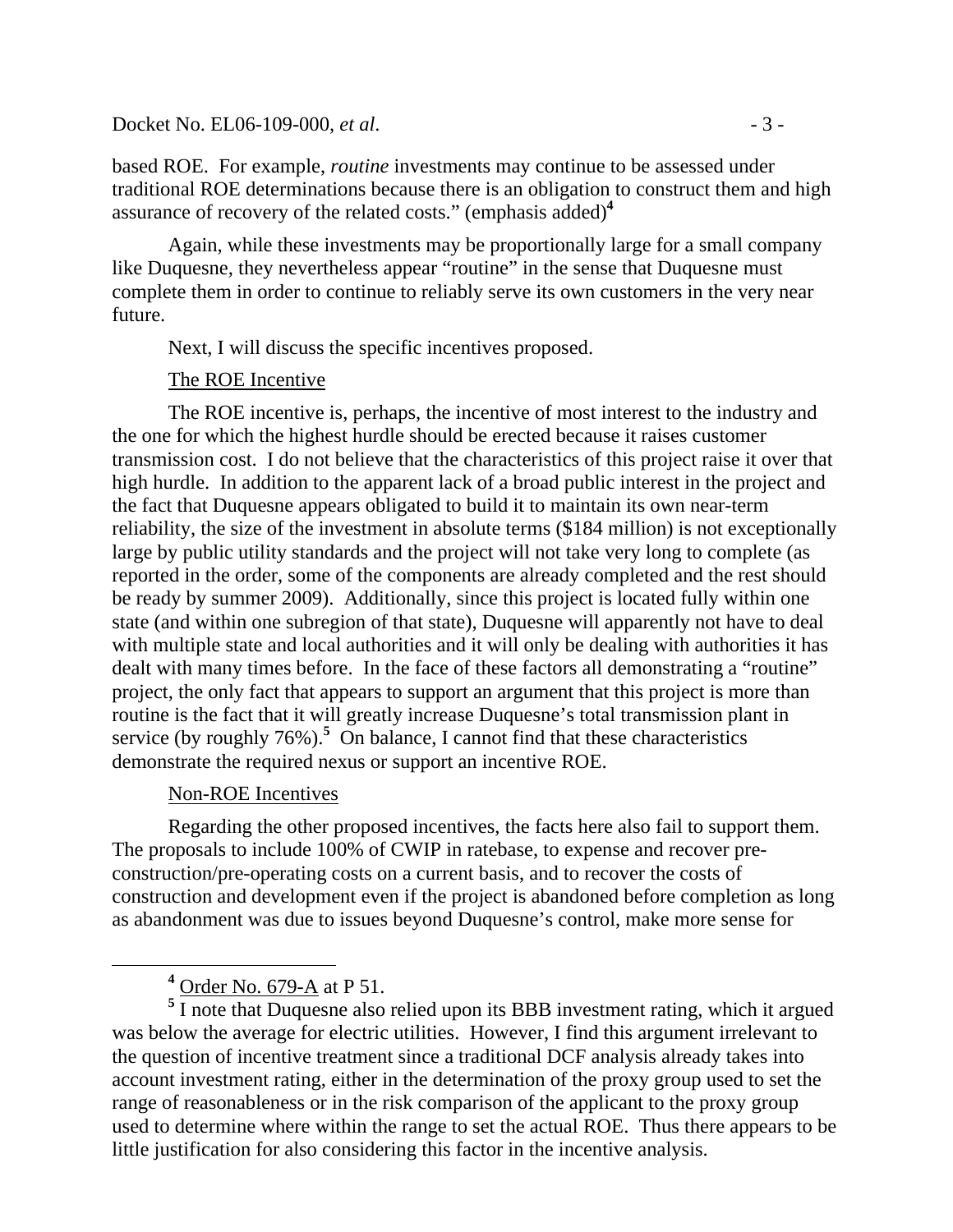#### Docket No. EL06-109-000, *et al.* - 3 -

based ROE. For example, *routine* investments may continue to be assessed under traditional ROE determinations because there is an obligation to construct them and high assurance of recovery of the related costs." (emphasis added)**<sup>4</sup>**

Again, while these investments may be proportionally large for a small company like Duquesne, they nevertheless appear "routine" in the sense that Duquesne must complete them in order to continue to reliably serve its own customers in the very near future.

Next, I will discuss the specific incentives proposed.

### The ROE Incentive

The ROE incentive is, perhaps, the incentive of most interest to the industry and the one for which the highest hurdle should be erected because it raises customer transmission cost. I do not believe that the characteristics of this project raise it over that high hurdle. In addition to the apparent lack of a broad public interest in the project and the fact that Duquesne appears obligated to build it to maintain its own near-term reliability, the size of the investment in absolute terms (\$184 million) is not exceptionally large by public utility standards and the project will not take very long to complete (as reported in the order, some of the components are already completed and the rest should be ready by summer 2009). Additionally, since this project is located fully within one state (and within one subregion of that state), Duquesne will apparently not have to deal with multiple state and local authorities and it will only be dealing with authorities it has dealt with many times before. In the face of these factors all demonstrating a "routine" project, the only fact that appears to support an argument that this project is more than routine is the fact that it will greatly increase Duquesne's total transmission plant in service (by roughly  $76\%$ ).<sup>5</sup> On balance, I cannot find that these characteristics demonstrate the required nexus or support an incentive ROE.

### Non-ROE Incentives

Regarding the other proposed incentives, the facts here also fail to support them. The proposals to include 100% of CWIP in ratebase, to expense and recover preconstruction/pre-operating costs on a current basis, and to recover the costs of construction and development even if the project is abandoned before completion as long as abandonment was due to issues beyond Duquesne's control, make more sense for

<sup>5</sup> I note that Duquesne also relied upon its BBB investment rating, which it argued was below the average for electric utilities. However, I find this argument irrelevant to the question of incentive treatment since a traditional DCF analysis already takes into account investment rating, either in the determination of the proxy group used to set the range of reasonableness or in the risk comparison of the applicant to the proxy group used to determine where within the range to set the actual ROE. Thus there appears to be little justification for also considering this factor in the incentive analysis.

**<sup>4</sup>** <sup>4</sup> Order No. 679-A at P 51.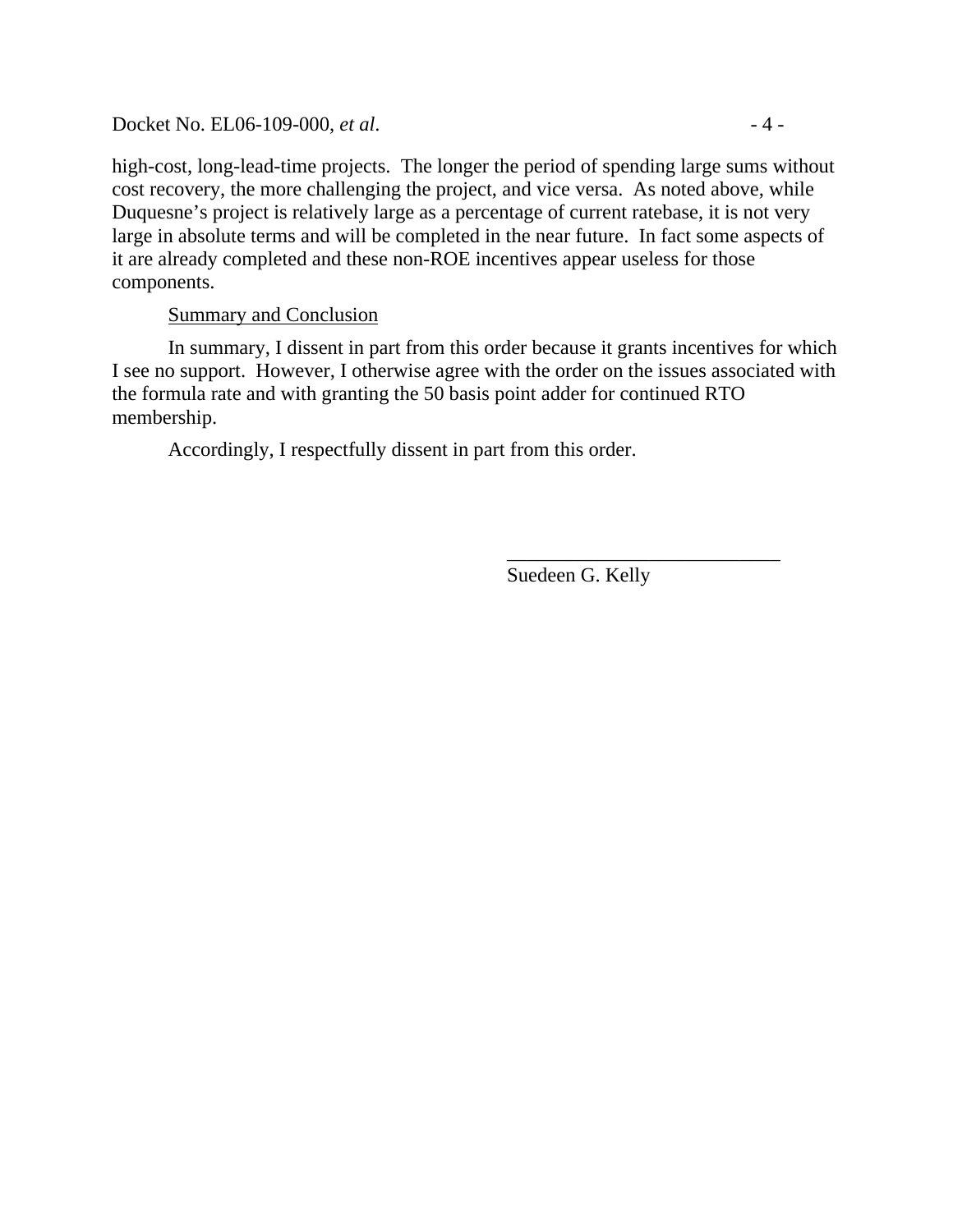Docket No. EL06-109-000, *et al.* - 4 -

high-cost, long-lead-time projects. The longer the period of spending large sums without cost recovery, the more challenging the project, and vice versa. As noted above, while Duquesne's project is relatively large as a percentage of current ratebase, it is not very large in absolute terms and will be completed in the near future. In fact some aspects of it are already completed and these non-ROE incentives appear useless for those components.

### Summary and Conclusion

In summary, I dissent in part from this order because it grants incentives for which I see no support. However, I otherwise agree with the order on the issues associated with the formula rate and with granting the 50 basis point adder for continued RTO membership.

 $\overline{\phantom{a}}$  , and the contract of the contract of the contract of the contract of the contract of the contract of the contract of the contract of the contract of the contract of the contract of the contract of the contrac

Accordingly, I respectfully dissent in part from this order.

Suedeen G. Kelly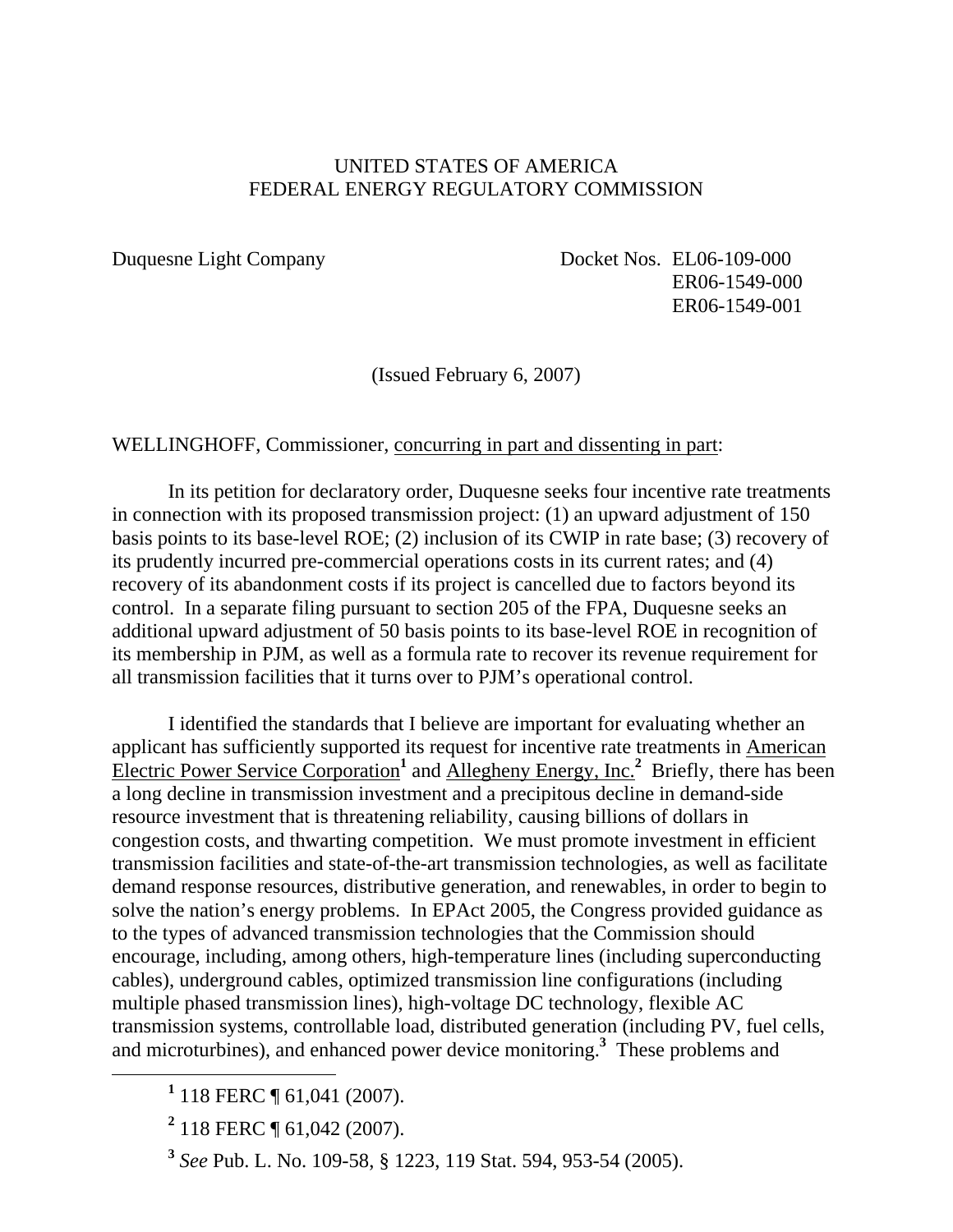### UNITED STATES OF AMERICA FEDERAL ENERGY REGULATORY COMMISSION

Duquesne Light Company Docket Nos. EL06-109-000 ER06-1549-000 ER06-1549-001

(Issued February 6, 2007)

WELLINGHOFF, Commissioner, concurring in part and dissenting in part:

In its petition for declaratory order, Duquesne seeks four incentive rate treatments in connection with its proposed transmission project: (1) an upward adjustment of 150 basis points to its base-level ROE; (2) inclusion of its CWIP in rate base; (3) recovery of its prudently incurred pre-commercial operations costs in its current rates; and (4) recovery of its abandonment costs if its project is cancelled due to factors beyond its control. In a separate filing pursuant to section 205 of the FPA, Duquesne seeks an additional upward adjustment of 50 basis points to its base-level ROE in recognition of its membership in PJM, as well as a formula rate to recover its revenue requirement for all transmission facilities that it turns over to PJM's operational control.

I identified the standards that I believe are important for evaluating whether an applicant has sufficiently supported its request for incentive rate treatments in American Electric Power Service Corporation<sup>1</sup> and Allegheny Energy, Inc.<sup>2</sup> Briefly, there has been a long decline in transmission investment and a precipitous decline in demand-side resource investment that is threatening reliability, causing billions of dollars in congestion costs, and thwarting competition. We must promote investment in efficient transmission facilities and state-of-the-art transmission technologies, as well as facilitate demand response resources, distributive generation, and renewables, in order to begin to solve the nation's energy problems. In EPAct 2005, the Congress provided guidance as to the types of advanced transmission technologies that the Commission should encourage, including, among others, high-temperature lines (including superconducting cables), underground cables, optimized transmission line configurations (including multiple phased transmission lines), high-voltage DC technology, flexible AC transmission systems, controllable load, distributed generation (including PV, fuel cells, and microturbines), and enhanced power device monitoring.**<sup>3</sup>** These problems and

<sup>&</sup>lt;u>1</u> <sup>1</sup> 118 FERC ¶ 61,041 (2007).

**<sup>2</sup>** 118 FERC ¶ 61,042 (2007).

**<sup>3</sup>** *See* Pub. L. No. 109-58, § 1223, 119 Stat. 594, 953-54 (2005).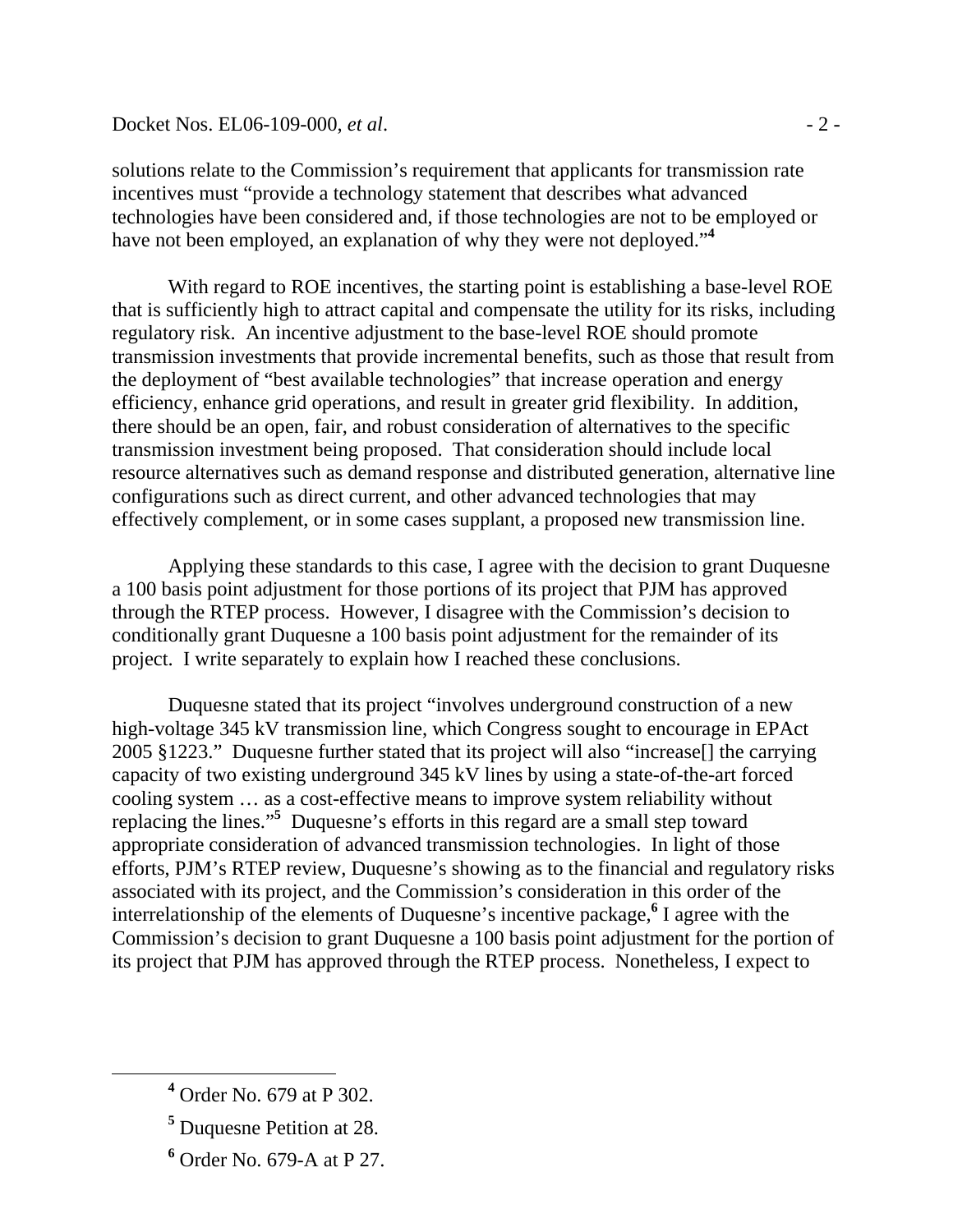solutions relate to the Commission's requirement that applicants for transmission rate incentives must "provide a technology statement that describes what advanced technologies have been considered and, if those technologies are not to be employed or have not been employed, an explanation of why they were not deployed."**<sup>4</sup>**

With regard to ROE incentives, the starting point is establishing a base-level ROE that is sufficiently high to attract capital and compensate the utility for its risks, including regulatory risk. An incentive adjustment to the base-level ROE should promote transmission investments that provide incremental benefits, such as those that result from the deployment of "best available technologies" that increase operation and energy efficiency, enhance grid operations, and result in greater grid flexibility. In addition, there should be an open, fair, and robust consideration of alternatives to the specific transmission investment being proposed. That consideration should include local resource alternatives such as demand response and distributed generation, alternative line configurations such as direct current, and other advanced technologies that may effectively complement, or in some cases supplant, a proposed new transmission line.

Applying these standards to this case, I agree with the decision to grant Duquesne a 100 basis point adjustment for those portions of its project that PJM has approved through the RTEP process. However, I disagree with the Commission's decision to conditionally grant Duquesne a 100 basis point adjustment for the remainder of its project. I write separately to explain how I reached these conclusions.

Duquesne stated that its project "involves underground construction of a new high-voltage 345 kV transmission line, which Congress sought to encourage in EPAct 2005 §1223." Duquesne further stated that its project will also "increase[] the carrying capacity of two existing underground 345 kV lines by using a state-of-the-art forced cooling system … as a cost-effective means to improve system reliability without replacing the lines."**<sup>5</sup>** Duquesne's efforts in this regard are a small step toward appropriate consideration of advanced transmission technologies. In light of those efforts, PJM's RTEP review, Duquesne's showing as to the financial and regulatory risks associated with its project, and the Commission's consideration in this order of the interrelationship of the elements of Duquesne's incentive package,**<sup>6</sup>** I agree with the Commission's decision to grant Duquesne a 100 basis point adjustment for the portion of its project that PJM has approved through the RTEP process. Nonetheless, I expect to

- **5** Duquesne Petition at 28.
- **6** Order No. 679-A at P 27.

**<sup>4</sup>** Order No. 679 at P 302.